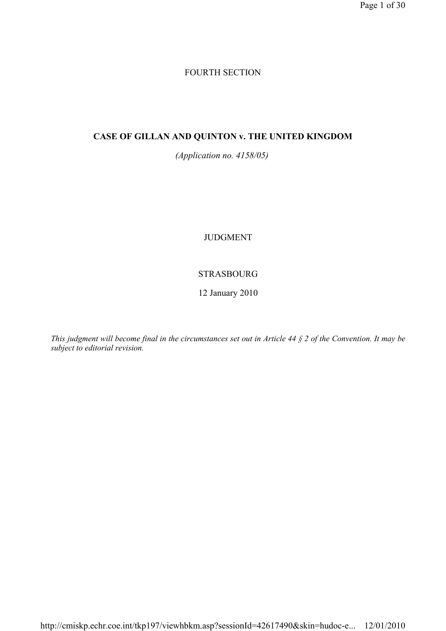# FOURTH SECTION

# **CASE OF GILLAN AND QUINTON v. THE UNITED KINGDOM**

*(Application no. 4158/05)*

## JUDGMENT

## STRASBOURG

12 January 2010

*This judgment will become final in the circumstances set out in Article 44 § 2 of the Convention. It may be subject to editorial revision.*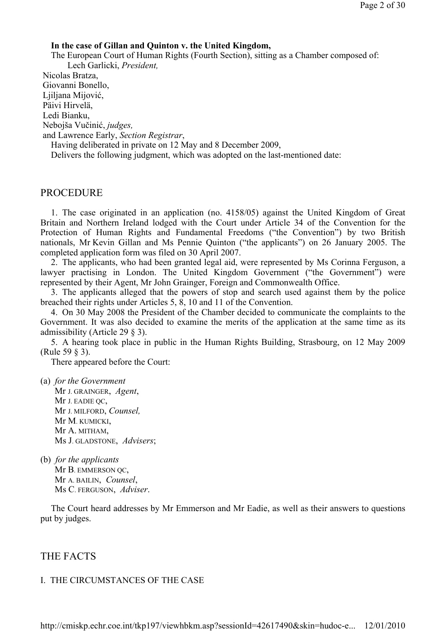## **In the case of Gillan and Quinton v. the United Kingdom,**

The European Court of Human Rights (Fourth Section), sitting as a Chamber composed of: Lech Garlicki, *President,* 

Nicolas Bratza,

Giovanni Bonello,

Ljiljana Mijović,

Päivi Hirvelä,

Ledi Bianku,

Nebojša Vučinić, *judges,* 

and Lawrence Early, *Section Registrar*,

Having deliberated in private on 12 May and 8 December 2009,

Delivers the following judgment, which was adopted on the last-mentioned date:

## **PROCEDURE**

1. The case originated in an application (no. 4158/05) against the United Kingdom of Great Britain and Northern Ireland lodged with the Court under Article 34 of the Convention for the Protection of Human Rights and Fundamental Freedoms ("the Convention") by two British nationals, Mr Kevin Gillan and Ms Pennie Quinton ("the applicants") on 26 January 2005. The completed application form was filed on 30 April 2007.

2. The applicants, who had been granted legal aid, were represented by Ms Corinna Ferguson, a lawyer practising in London. The United Kingdom Government ("the Government") were represented by their Agent, Mr John Grainger, Foreign and Commonwealth Office.

3. The applicants alleged that the powers of stop and search used against them by the police breached their rights under Articles 5, 8, 10 and 11 of the Convention.

4. On 30 May 2008 the President of the Chamber decided to communicate the complaints to the Government. It was also decided to examine the merits of the application at the same time as its admissibility (Article 29 § 3).

5. A hearing took place in public in the Human Rights Building, Strasbourg, on 12 May 2009 (Rule 59 § 3).

There appeared before the Court:

(a) *for the Government*

Mr J. GRAINGER, *Agent*, Mr J. EADIE QC, Mr J. MILFORD, *Counsel,* Mr M. KUMICKI, Mr A. MITHAM, Ms J. GLADSTONE, *Advisers*;

(b) *for the applicants* Mr B. EMMERSON QC, Mr A. BAILIN, *Counsel*, Ms C. FERGUSON, *Adviser*.

The Court heard addresses by Mr Emmerson and Mr Eadie, as well as their answers to questions put by judges.

## THE FACTS

## I. THE CIRCUMSTANCES OF THE CASE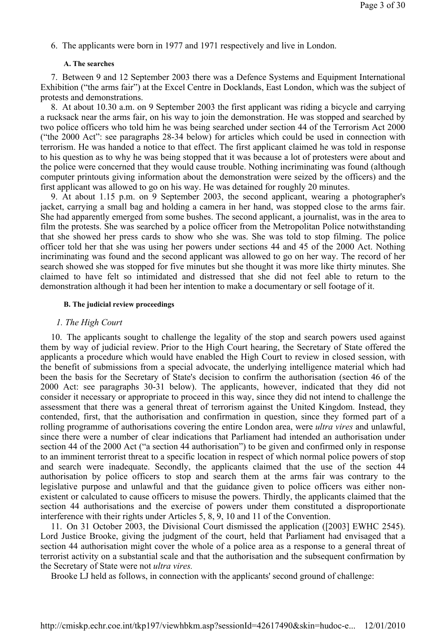6. The applicants were born in 1977 and 1971 respectively and live in London.

## **A. The searches**

7. Between 9 and 12 September 2003 there was a Defence Systems and Equipment International Exhibition ("the arms fair") at the Excel Centre in Docklands, East London, which was the subject of protests and demonstrations.

8. At about 10.30 a.m. on 9 September 2003 the first applicant was riding a bicycle and carrying a rucksack near the arms fair, on his way to join the demonstration. He was stopped and searched by two police officers who told him he was being searched under section 44 of the Terrorism Act 2000 ("the 2000 Act": see paragraphs 28-34 below) for articles which could be used in connection with terrorism. He was handed a notice to that effect. The first applicant claimed he was told in response to his question as to why he was being stopped that it was because a lot of protesters were about and the police were concerned that they would cause trouble. Nothing incriminating was found (although computer printouts giving information about the demonstration were seized by the officers) and the first applicant was allowed to go on his way. He was detained for roughly 20 minutes.

9. At about 1.15 p.m. on 9 September 2003, the second applicant, wearing a photographer's jacket, carrying a small bag and holding a camera in her hand, was stopped close to the arms fair. She had apparently emerged from some bushes. The second applicant, a journalist, was in the area to film the protests. She was searched by a police officer from the Metropolitan Police notwithstanding that she showed her press cards to show who she was. She was told to stop filming. The police officer told her that she was using her powers under sections 44 and 45 of the 2000 Act. Nothing incriminating was found and the second applicant was allowed to go on her way. The record of her search showed she was stopped for five minutes but she thought it was more like thirty minutes. She claimed to have felt so intimidated and distressed that she did not feel able to return to the demonstration although it had been her intention to make a documentary or sell footage of it.

#### **B. The judicial review proceedings**

## *1. The High Court*

10. The applicants sought to challenge the legality of the stop and search powers used against them by way of judicial review. Prior to the High Court hearing, the Secretary of State offered the applicants a procedure which would have enabled the High Court to review in closed session, with the benefit of submissions from a special advocate, the underlying intelligence material which had been the basis for the Secretary of State's decision to confirm the authorisation (section 46 of the 2000 Act: see paragraphs 30-31 below). The applicants, however, indicated that they did not consider it necessary or appropriate to proceed in this way, since they did not intend to challenge the assessment that there was a general threat of terrorism against the United Kingdom. Instead, they contended, first, that the authorisation and confirmation in question, since they formed part of a rolling programme of authorisations covering the entire London area, were *ultra vires* and unlawful, since there were a number of clear indications that Parliament had intended an authorisation under section 44 of the 2000 Act ("a section 44 authorisation") to be given and confirmed only in response to an imminent terrorist threat to a specific location in respect of which normal police powers of stop and search were inadequate. Secondly, the applicants claimed that the use of the section 44 authorisation by police officers to stop and search them at the arms fair was contrary to the legislative purpose and unlawful and that the guidance given to police officers was either nonexistent or calculated to cause officers to misuse the powers. Thirdly, the applicants claimed that the section 44 authorisations and the exercise of powers under them constituted a disproportionate interference with their rights under Articles 5, 8, 9, 10 and 11 of the Convention.

11. On 31 October 2003, the Divisional Court dismissed the application ([2003] EWHC 2545). Lord Justice Brooke, giving the judgment of the court, held that Parliament had envisaged that a section 44 authorisation might cover the whole of a police area as a response to a general threat of terrorist activity on a substantial scale and that the authorisation and the subsequent confirmation by the Secretary of State were not *ultra vires.*

Brooke LJ held as follows, in connection with the applicants' second ground of challenge: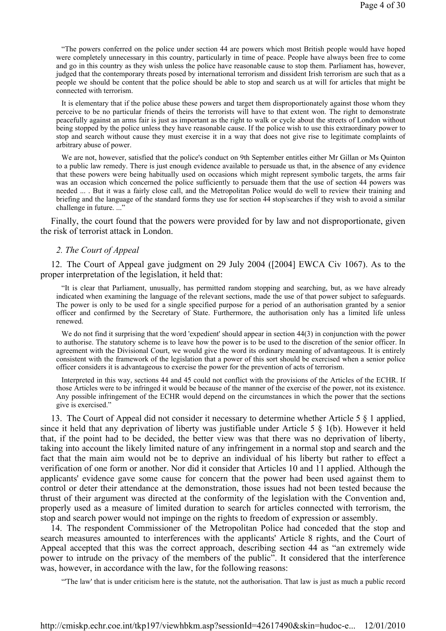"The powers conferred on the police under section 44 are powers which most British people would have hoped were completely unnecessary in this country, particularly in time of peace. People have always been free to come and go in this country as they wish unless the police have reasonable cause to stop them. Parliament has, however, judged that the contemporary threats posed by international terrorism and dissident Irish terrorism are such that as a people we should be content that the police should be able to stop and search us at will for articles that might be connected with terrorism.

It is elementary that if the police abuse these powers and target them disproportionately against those whom they perceive to be no particular friends of theirs the terrorists will have to that extent won. The right to demonstrate peacefully against an arms fair is just as important as the right to walk or cycle about the streets of London without being stopped by the police unless they have reasonable cause. If the police wish to use this extraordinary power to stop and search without cause they must exercise it in a way that does not give rise to legitimate complaints of arbitrary abuse of power.

We are not, however, satisfied that the police's conduct on 9th September entitles either Mr Gillan or Ms Quinton to a public law remedy. There is just enough evidence available to persuade us that, in the absence of any evidence that these powers were being habitually used on occasions which might represent symbolic targets, the arms fair was an occasion which concerned the police sufficiently to persuade them that the use of section 44 powers was needed ... . But it was a fairly close call, and the Metropolitan Police would do well to review their training and briefing and the language of the standard forms they use for section 44 stop/searches if they wish to avoid a similar challenge in future...."

Finally, the court found that the powers were provided for by law and not disproportionate, given the risk of terrorist attack in London.

## *2. The Court of Appeal*

12. The Court of Appeal gave judgment on 29 July 2004 ([2004] EWCA Civ 1067). As to the proper interpretation of the legislation, it held that:

"It is clear that Parliament, unusually, has permitted random stopping and searching, but, as we have already indicated when examining the language of the relevant sections, made the use of that power subject to safeguards. The power is only to be used for a single specified purpose for a period of an authorisation granted by a senior officer and confirmed by the Secretary of State. Furthermore, the authorisation only has a limited life unless renewed.

We do not find it surprising that the word 'expedient' should appear in section 44(3) in conjunction with the power to authorise. The statutory scheme is to leave how the power is to be used to the discretion of the senior officer. In agreement with the Divisional Court, we would give the word its ordinary meaning of advantageous. It is entirely consistent with the framework of the legislation that a power of this sort should be exercised when a senior police officer considers it is advantageous to exercise the power for the prevention of acts of terrorism.

Interpreted in this way, sections 44 and 45 could not conflict with the provisions of the Articles of the ECHR. If those Articles were to be infringed it would be because of the manner of the exercise of the power, not its existence. Any possible infringement of the ECHR would depend on the circumstances in which the power that the sections give is exercised."

13. The Court of Appeal did not consider it necessary to determine whether Article 5 § 1 applied, since it held that any deprivation of liberty was justifiable under Article 5 § 1(b). However it held that, if the point had to be decided, the better view was that there was no deprivation of liberty, taking into account the likely limited nature of any infringement in a normal stop and search and the fact that the main aim would not be to deprive an individual of his liberty but rather to effect a verification of one form or another. Nor did it consider that Articles 10 and 11 applied. Although the applicants' evidence gave some cause for concern that the power had been used against them to control or deter their attendance at the demonstration, those issues had not been tested because the thrust of their argument was directed at the conformity of the legislation with the Convention and, properly used as a measure of limited duration to search for articles connected with terrorism, the stop and search power would not impinge on the rights to freedom of expression or assembly.

14. The respondent Commissioner of the Metropolitan Police had conceded that the stop and search measures amounted to interferences with the applicants' Article 8 rights, and the Court of Appeal accepted that this was the correct approach, describing section 44 as "an extremely wide power to intrude on the privacy of the members of the public". It considered that the interference was, however, in accordance with the law, for the following reasons:

"'The law' that is under criticism here is the statute, not the authorisation. That law is just as much a public record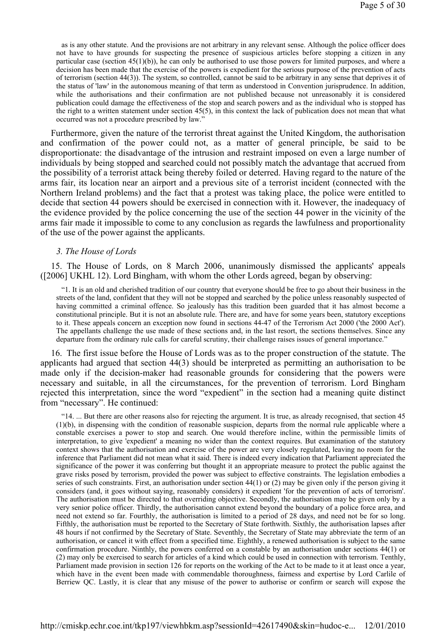as is any other statute. And the provisions are not arbitrary in any relevant sense. Although the police officer does not have to have grounds for suspecting the presence of suspicious articles before stopping a citizen in any particular case (section 45(1)(b)), he can only be authorised to use those powers for limited purposes, and where a decision has been made that the exercise of the powers is expedient for the serious purpose of the prevention of acts of terrorism (section 44(3)). The system, so controlled, cannot be said to be arbitrary in any sense that deprives it of the status of 'law' in the autonomous meaning of that term as understood in Convention jurisprudence. In addition, while the authorisations and their confirmation are not published because not unreasonably it is considered publication could damage the effectiveness of the stop and search powers and as the individual who is stopped has the right to a written statement under section 45(5), in this context the lack of publication does not mean that what occurred was not a procedure prescribed by law."

Furthermore, given the nature of the terrorist threat against the United Kingdom, the authorisation and confirmation of the power could not, as a matter of general principle, be said to be disproportionate: the disadvantage of the intrusion and restraint imposed on even a large number of individuals by being stopped and searched could not possibly match the advantage that accrued from the possibility of a terrorist attack being thereby foiled or deterred. Having regard to the nature of the arms fair, its location near an airport and a previous site of a terrorist incident (connected with the Northern Ireland problems) and the fact that a protest was taking place, the police were entitled to decide that section 44 powers should be exercised in connection with it. However, the inadequacy of the evidence provided by the police concerning the use of the section 44 power in the vicinity of the arms fair made it impossible to come to any conclusion as regards the lawfulness and proportionality of the use of the power against the applicants.

## *3. The House of Lords*

15. The House of Lords, on 8 March 2006, unanimously dismissed the applicants' appeals ([2006] UKHL 12). Lord Bingham, with whom the other Lords agreed, began by observing:

"1. It is an old and cherished tradition of our country that everyone should be free to go about their business in the streets of the land, confident that they will not be stopped and searched by the police unless reasonably suspected of having committed a criminal offence. So jealously has this tradition been guarded that it has almost become a constitutional principle. But it is not an absolute rule. There are, and have for some years been, statutory exceptions to it. These appeals concern an exception now found in sections 44-47 of the Terrorism Act 2000 ('the 2000 Act'). The appellants challenge the use made of these sections and, in the last resort, the sections themselves. Since any departure from the ordinary rule calls for careful scrutiny, their challenge raises issues of general importance."

16. The first issue before the House of Lords was as to the proper construction of the statute. The applicants had argued that section 44(3) should be interpreted as permitting an authorisation to be made only if the decision-maker had reasonable grounds for considering that the powers were necessary and suitable, in all the circumstances, for the prevention of terrorism. Lord Bingham rejected this interpretation, since the word "expedient" in the section had a meaning quite distinct from "necessary". He continued:

"14. ... But there are other reasons also for rejecting the argument. It is true, as already recognised, that section 45 (1)(b), in dispensing with the condition of reasonable suspicion, departs from the normal rule applicable where a constable exercises a power to stop and search. One would therefore incline, within the permissible limits of interpretation, to give 'expedient' a meaning no wider than the context requires. But examination of the statutory context shows that the authorisation and exercise of the power are very closely regulated, leaving no room for the inference that Parliament did not mean what it said. There is indeed every indication that Parliament appreciated the significance of the power it was conferring but thought it an appropriate measure to protect the public against the grave risks posed by terrorism, provided the power was subject to effective constraints. The legislation embodies a series of such constraints. First, an authorisation under section 44(1) or (2) may be given only if the person giving it considers (and, it goes without saying, reasonably considers) it expedient 'for the prevention of acts of terrorism'. The authorisation must be directed to that overriding objective. Secondly, the authorisation may be given only by a very senior police officer. Thirdly, the authorisation cannot extend beyond the boundary of a police force area, and need not extend so far. Fourthly, the authorisation is limited to a period of 28 days, and need not be for so long. Fifthly, the authorisation must be reported to the Secretary of State forthwith. Sixthly, the authorisation lapses after 48 hours if not confirmed by the Secretary of State. Seventhly, the Secretary of State may abbreviate the term of an authorisation, or cancel it with effect from a specified time. Eighthly, a renewed authorisation is subject to the same confirmation procedure. Ninthly, the powers conferred on a constable by an authorisation under sections 44(1) or (2) may only be exercised to search for articles of a kind which could be used in connection with terrorism. Tenthly, Parliament made provision in section 126 for reports on the working of the Act to be made to it at least once a year, which have in the event been made with commendable thoroughness, fairness and expertise by Lord Carlile of Berriew QC. Lastly, it is clear that any misuse of the power to authorise or confirm or search will expose the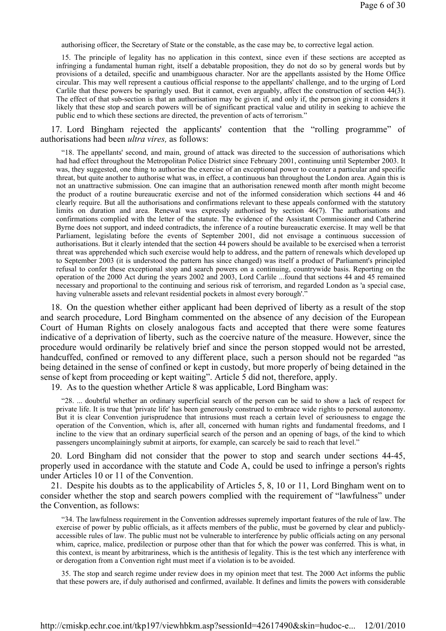authorising officer, the Secretary of State or the constable, as the case may be, to corrective legal action.

15. The principle of legality has no application in this context, since even if these sections are accepted as infringing a fundamental human right, itself a debatable proposition, they do not do so by general words but by provisions of a detailed, specific and unambiguous character. Nor are the appellants assisted by the Home Office circular. This may well represent a cautious official response to the appellants' challenge, and to the urging of Lord Carlile that these powers be sparingly used. But it cannot, even arguably, affect the construction of section 44(3). The effect of that sub-section is that an authorisation may be given if, and only if, the person giving it considers it likely that these stop and search powers will be of significant practical value and utility in seeking to achieve the public end to which these sections are directed, the prevention of acts of terrorism."

17. Lord Bingham rejected the applicants' contention that the "rolling programme" of authorisations had been *ultra vires,* as follows:

"18. The appellants' second, and main, ground of attack was directed to the succession of authorisations which had had effect throughout the Metropolitan Police District since February 2001, continuing until September 2003. It was, they suggested, one thing to authorise the exercise of an exceptional power to counter a particular and specific threat, but quite another to authorise what was, in effect, a continuous ban throughout the London area. Again this is not an unattractive submission. One can imagine that an authorisation renewed month after month might become the product of a routine bureaucratic exercise and not of the informed consideration which sections 44 and 46 clearly require. But all the authorisations and confirmations relevant to these appeals conformed with the statutory limits on duration and area. Renewal was expressly authorised by section 46(7). The authorisations and confirmations complied with the letter of the statute. The evidence of the Assistant Commissioner and Catherine Byrne does not support, and indeed contradicts, the inference of a routine bureaucratic exercise. It may well be that Parliament, legislating before the events of September 2001, did not envisage a continuous succession of authorisations. But it clearly intended that the section 44 powers should be available to be exercised when a terrorist threat was apprehended which such exercise would help to address, and the pattern of renewals which developed up to September 2003 (it is understood the pattern has since changed) was itself a product of Parliament's principled refusal to confer these exceptional stop and search powers on a continuing, countrywide basis. Reporting on the operation of the 2000 Act during the years 2002 and 2003, Lord Carlile ...found that sections 44 and 45 remained necessary and proportional to the continuing and serious risk of terrorism, and regarded London as 'a special case, having vulnerable assets and relevant residential pockets in almost every borough'."

18. On the question whether either applicant had been deprived of liberty as a result of the stop and search procedure, Lord Bingham commented on the absence of any decision of the European Court of Human Rights on closely analogous facts and accepted that there were some features indicative of a deprivation of liberty, such as the coercive nature of the measure. However, since the procedure would ordinarily be relatively brief and since the person stopped would not be arrested, handcuffed, confined or removed to any different place, such a person should not be regarded "as being detained in the sense of confined or kept in custody, but more properly of being detained in the sense of kept from proceeding or kept waiting". Article 5 did not, therefore, apply.

19. As to the question whether Article 8 was applicable, Lord Bingham was:

"28. ... doubtful whether an ordinary superficial search of the person can be said to show a lack of respect for private life. It is true that 'private life' has been generously construed to embrace wide rights to personal autonomy. But it is clear Convention jurisprudence that intrusions must reach a certain level of seriousness to engage the operation of the Convention, which is, after all, concerned with human rights and fundamental freedoms, and I incline to the view that an ordinary superficial search of the person and an opening of bags, of the kind to which passengers uncomplainingly submit at airports, for example, can scarcely be said to reach that level."

20. Lord Bingham did not consider that the power to stop and search under sections 44-45, properly used in accordance with the statute and Code A, could be used to infringe a person's rights under Articles 10 or 11 of the Convention.

21. Despite his doubts as to the applicability of Articles 5, 8, 10 or 11, Lord Bingham went on to consider whether the stop and search powers complied with the requirement of "lawfulness" under the Convention, as follows:

"34. The lawfulness requirement in the Convention addresses supremely important features of the rule of law. The exercise of power by public officials, as it affects members of the public, must be governed by clear and publiclyaccessible rules of law. The public must not be vulnerable to interference by public officials acting on any personal whim, caprice, malice, predilection or purpose other than that for which the power was conferred. This is what, in this context, is meant by arbitrariness, which is the antithesis of legality. This is the test which any interference with or derogation from a Convention right must meet if a violation is to be avoided.

35. The stop and search regime under review does in my opinion meet that test. The 2000 Act informs the public that these powers are, if duly authorised and confirmed, available. It defines and limits the powers with considerable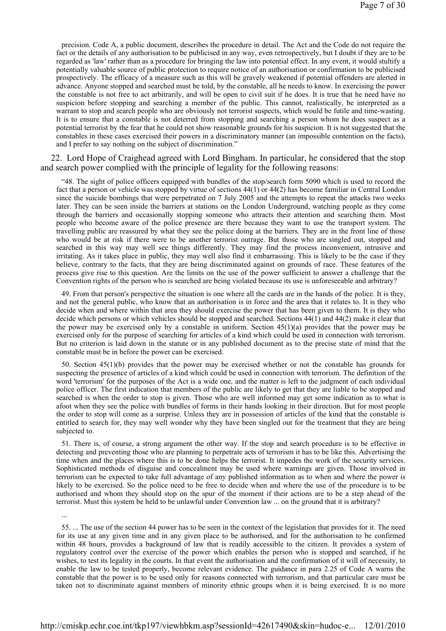precision. Code A, a public document, describes the procedure in detail. The Act and the Code do not require the fact or the details of any authorisation to be publicised in any way, even retrospectively, but I doubt if they are to be regarded as 'law' rather than as a procedure for bringing the law into potential effect. In any event, it would stultify a potentially valuable source of public protection to require notice of an authorisation or confirmation to be publicised prospectively. The efficacy of a measure such as this will be gravely weakened if potential offenders are alerted in advance. Anyone stopped and searched must be told, by the constable, all he needs to know. In exercising the power the constable is not free to act arbitrarily, and will be open to civil suit if he does. It is true that he need have no suspicion before stopping and searching a member of the public. This cannot, realistically, be interpreted as a warrant to stop and search people who are obviously not terrorist suspects, which would be futile and time-wasting. It is to ensure that a constable is not deterred from stopping and searching a person whom he does suspect as a potential terrorist by the fear that he could not show reasonable grounds for his suspicion. It is not suggested that the constables in these cases exercised their powers in a discriminatory manner (an impossible contention on the facts), and I prefer to say nothing on the subject of discrimination."

22. Lord Hope of Craighead agreed with Lord Bingham. In particular, he considered that the stop and search power complied with the principle of legality for the following reasons:

"48. The sight of police officers equipped with bundles of the stop/search form 5090 which is used to record the fact that a person or vehicle was stopped by virtue of sections 44(1) or 44(2) has become familiar in Central London since the suicide bombings that were perpetrated on 7 July 2005 and the attempts to repeat the attacks two weeks later. They can be seen inside the barriers at stations on the London Underground, watching people as they come through the barriers and occasionally stopping someone who attracts their attention and searching them. Most people who become aware of the police presence are there because they want to use the transport system. The travelling public are reassured by what they see the police doing at the barriers. They are in the front line of those who would be at risk if there were to be another terrorist outrage. But those who are singled out, stopped and searched in this way may well see things differently. They may find the process inconvenient, intrusive and irritating. As it takes place in public, they may well also find it embarrassing. This is likely to be the case if they believe, contrary to the facts, that they are being discriminated against on grounds of race. These features of the process give rise to this question. Are the limits on the use of the power sufficient to answer a challenge that the Convention rights of the person who is searched are being violated because its use is unforeseeable and arbitrary?

49. From that person's perspective the situation is one where all the cards are in the hands of the police. It is they, and not the general public, who know that an authorisation is in force and the area that it relates to. It is they who decide when and where within that area they should exercise the power that has been given to them. It is they who decide which persons or which vehicles should be stopped and searched. Sections 44(1) and 44(2) make it clear that the power may be exercised only by a constable in uniform. Section  $45(1)(a)$  provides that the power may be exercised only for the purpose of searching for articles of a kind which could be used in connection with terrorism. But no criterion is laid down in the statute or in any published document as to the precise state of mind that the constable must be in before the power can be exercised.

50. Section 45(1)(b) provides that the power may be exercised whether or not the constable has grounds for suspecting the presence of articles of a kind which could be used in connection with terrorism. The definition of the word 'terrorism' for the purposes of the Act is a wide one, and the matter is left to the judgment of each individual police officer. The first indication that members of the public are likely to get that they are liable to be stopped and searched is when the order to stop is given. Those who are well informed may get some indication as to what is afoot when they see the police with bundles of forms in their hands looking in their direction. But for most people the order to stop will come as a surprise. Unless they are in possession of articles of the kind that the constable is entitled to search for, they may well wonder why they have been singled out for the treatment that they are being subjected to.

51. There is, of course, a strong argument the other way. If the stop and search procedure is to be effective in detecting and preventing those who are planning to perpetrate acts of terrorism it has to be like this. Advertising the time when and the places where this is to be done helps the terrorist. It impedes the work of the security services. Sophisticated methods of disguise and concealment may be used where warnings are given. Those involved in terrorism can be expected to take full advantage of any published information as to when and where the power is likely to be exercised. So the police need to be free to decide when and where the use of the procedure is to be authorised and whom they should stop on the spur of the moment if their actions are to be a step ahead of the terrorist. Must this system be held to be unlawful under Convention law ... on the ground that it is arbitrary?

...

55. ... The use of the section 44 power has to be seen in the context of the legislation that provides for it. The need for its use at any given time and in any given place to be authorised, and for the authorisation to be confirmed within 48 hours, provides a background of law that is readily accessible to the citizen. It provides a system of regulatory control over the exercise of the power which enables the person who is stopped and searched, if he wishes, to test its legality in the courts. In that event the authorisation and the confirmation of it will of necessity, to enable the law to be tested properly, become relevant evidence. The guidance in para 2.25 of Code A warns the constable that the power is to be used only for reasons connected with terrorism, and that particular care must be taken not to discriminate against members of minority ethnic groups when it is being exercised. It is no more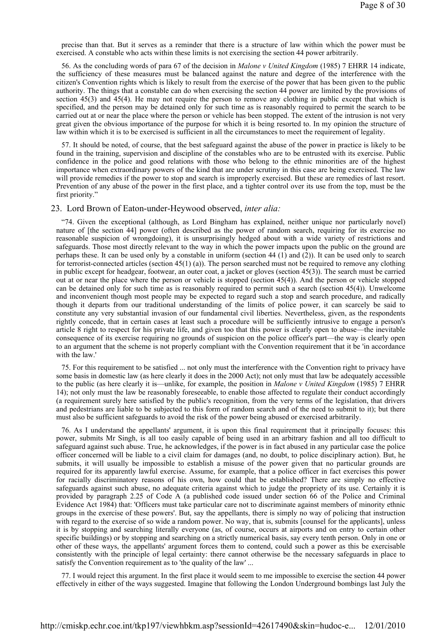precise than that. But it serves as a reminder that there is a structure of law within which the power must be exercised. A constable who acts within these limits is not exercising the section 44 power arbitrarily.

56. As the concluding words of para 67 of the decision in *Malone v United Kingdom* (1985) 7 EHRR 14 indicate, the sufficiency of these measures must be balanced against the nature and degree of the interference with the citizen's Convention rights which is likely to result from the exercise of the power that has been given to the public authority. The things that a constable can do when exercising the section 44 power are limited by the provisions of section 45(3) and 45(4). He may not require the person to remove any clothing in public except that which is specified, and the person may be detained only for such time as is reasonably required to permit the search to be carried out at or near the place where the person or vehicle has been stopped. The extent of the intrusion is not very great given the obvious importance of the purpose for which it is being resorted to. In my opinion the structure of law within which it is to be exercised is sufficient in all the circumstances to meet the requirement of legality.

57. It should be noted, of course, that the best safeguard against the abuse of the power in practice is likely to be found in the training, supervision and discipline of the constables who are to be entrusted with its exercise. Public confidence in the police and good relations with those who belong to the ethnic minorities are of the highest importance when extraordinary powers of the kind that are under scrutiny in this case are being exercised. The law will provide remedies if the power to stop and search is improperly exercised. But these are remedies of last resort. Prevention of any abuse of the power in the first place, and a tighter control over its use from the top, must be the first priority."

## 23. Lord Brown of Eaton-under-Heywood observed, *inter alia:*

"74. Given the exceptional (although, as Lord Bingham has explained, neither unique nor particularly novel) nature of [the section 44] power (often described as the power of random search, requiring for its exercise no reasonable suspicion of wrongdoing), it is unsurprisingly hedged about with a wide variety of restrictions and safeguards. Those most directly relevant to the way in which the power impacts upon the public on the ground are perhaps these. It can be used only by a constable in uniform (section 44 (1) and (2)). It can be used only to search for terrorist-connected articles (section  $45(1)$  (a)). The person searched must not be required to remove any clothing in public except for headgear, footwear, an outer coat, a jacket or gloves (section 45(3)). The search must be carried out at or near the place where the person or vehicle is stopped (section 45(4)). And the person or vehicle stopped can be detained only for such time as is reasonably required to permit such a search (section 45(4)). Unwelcome and inconvenient though most people may be expected to regard such a stop and search procedure, and radically though it departs from our traditional understanding of the limits of police power, it can scarcely be said to constitute any very substantial invasion of our fundamental civil liberties. Nevertheless, given, as the respondents rightly concede, that in certain cases at least such a procedure will be sufficiently intrusive to engage a person's article 8 right to respect for his private life, and given too that this power is clearly open to abuse—the inevitable consequence of its exercise requiring no grounds of suspicion on the police officer's part—the way is clearly open to an argument that the scheme is not properly compliant with the Convention requirement that it be 'in accordance with the law.'

75. For this requirement to be satisfied ... not only must the interference with the Convention right to privacy have some basis in domestic law (as here clearly it does in the 2000 Act); not only must that law be adequately accessible to the public (as here clearly it is—unlike, for example, the position in *Malone v United Kingdom* (1985) 7 EHRR 14); not only must the law be reasonably foreseeable, to enable those affected to regulate their conduct accordingly (a requirement surely here satisfied by the public's recognition, from the very terms of the legislation, that drivers and pedestrians are liable to be subjected to this form of random search and of the need to submit to it); but there must also be sufficient safeguards to avoid the risk of the power being abused or exercised arbitrarily.

76. As I understand the appellants' argument, it is upon this final requirement that it principally focuses: this power, submits Mr Singh, is all too easily capable of being used in an arbitrary fashion and all too difficult to safeguard against such abuse. True, he acknowledges, if the power is in fact abused in any particular case the police officer concerned will be liable to a civil claim for damages (and, no doubt, to police disciplinary action). But, he submits, it will usually be impossible to establish a misuse of the power given that no particular grounds are required for its apparently lawful exercise. Assume, for example, that a police officer in fact exercises this power for racially discriminatory reasons of his own, how could that be established? There are simply no effective safeguards against such abuse, no adequate criteria against which to judge the propriety of its use. Certainly it is provided by paragraph 2.25 of Code A (a published code issued under section 66 of the Police and Criminal Evidence Act 1984) that: 'Officers must take particular care not to discriminate against members of minority ethnic groups in the exercise of these powers'. But, say the appellants, there is simply no way of policing that instruction with regard to the exercise of so wide a random power. No way, that is, submits [counsel for the applicants], unless it is by stopping and searching literally everyone (as, of course, occurs at airports and on entry to certain other specific buildings) or by stopping and searching on a strictly numerical basis, say every tenth person. Only in one or other of these ways, the appellants' argument forces them to contend, could such a power as this be exercisable consistently with the principle of legal certainty: there cannot otherwise be the necessary safeguards in place to satisfy the Convention requirement as to 'the quality of the law' ...

77. I would reject this argument. In the first place it would seem to me impossible to exercise the section 44 power effectively in either of the ways suggested. Imagine that following the London Underground bombings last July the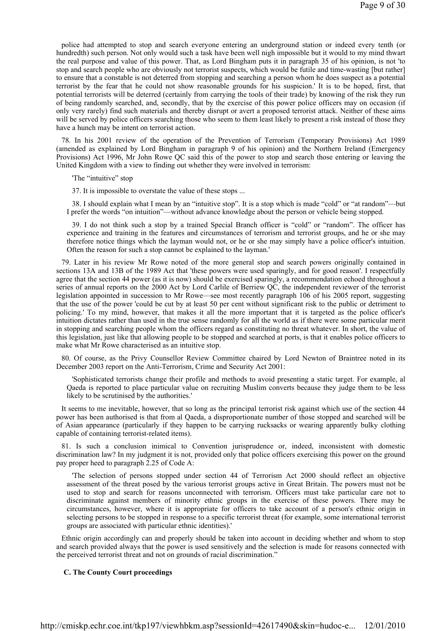police had attempted to stop and search everyone entering an underground station or indeed every tenth (or hundredth) such person. Not only would such a task have been well nigh impossible but it would to my mind thwart the real purpose and value of this power. That, as Lord Bingham puts it in paragraph 35 of his opinion, is not 'to stop and search people who are obviously not terrorist suspects, which would be futile and time-wasting [but rather] to ensure that a constable is not deterred from stopping and searching a person whom he does suspect as a potential terrorist by the fear that he could not show reasonable grounds for his suspicion.' It is to be hoped, first, that potential terrorists will be deterred (certainly from carrying the tools of their trade) by knowing of the risk they run of being randomly searched, and, secondly, that by the exercise of this power police officers may on occasion (if only very rarely) find such materials and thereby disrupt or avert a proposed terrorist attack. Neither of these aims will be served by police officers searching those who seem to them least likely to present a risk instead of those they have a hunch may be intent on terrorist action.

78. In his 2001 review of the operation of the Prevention of Terrorism (Temporary Provisions) Act 1989 (amended as explained by Lord Bingham in paragraph 9 of his opinion) and the Northern Ireland (Emergency Provisions) Act 1996, Mr John Rowe QC said this of the power to stop and search those entering or leaving the United Kingdom with a view to finding out whether they were involved in terrorism:

'The "intuitive" stop

37. It is impossible to overstate the value of these stops ...

38. I should explain what I mean by an "intuitive stop". It is a stop which is made "cold" or "at random"—but I prefer the words "on intuition"—without advance knowledge about the person or vehicle being stopped.

39. I do not think such a stop by a trained Special Branch officer is "cold" or "random". The officer has experience and training in the features and circumstances of terrorism and terrorist groups, and he or she may therefore notice things which the layman would not, or he or she may simply have a police officer's intuition. Often the reason for such a stop cannot be explained to the layman.'

79. Later in his review Mr Rowe noted of the more general stop and search powers originally contained in sections 13A and 13B of the 1989 Act that 'these powers were used sparingly, and for good reason'. I respectfully agree that the section 44 power (as it is now) should be exercised sparingly, a recommendation echoed throughout a series of annual reports on the 2000 Act by Lord Carlile of Berriew QC, the independent reviewer of the terrorist legislation appointed in succession to Mr Rowe—see most recently paragraph 106 of his 2005 report, suggesting that the use of the power 'could be cut by at least 50 per cent without significant risk to the public or detriment to policing.' To my mind, however, that makes it all the more important that it is targeted as the police officer's intuition dictates rather than used in the true sense randomly for all the world as if there were some particular merit in stopping and searching people whom the officers regard as constituting no threat whatever. In short, the value of this legislation, just like that allowing people to be stopped and searched at ports, is that it enables police officers to make what Mr Rowe characterised as an intuitive stop.

80. Of course, as the Privy Counsellor Review Committee chaired by Lord Newton of Braintree noted in its December 2003 report on the Anti-Terrorism, Crime and Security Act 2001:

'Sophisticated terrorists change their profile and methods to avoid presenting a static target. For example, al Qaeda is reported to place particular value on recruiting Muslim converts because they judge them to be less likely to be scrutinised by the authorities.'

It seems to me inevitable, however, that so long as the principal terrorist risk against which use of the section 44 power has been authorised is that from al Qaeda, a disproportionate number of those stopped and searched will be of Asian appearance (particularly if they happen to be carrying rucksacks or wearing apparently bulky clothing capable of containing terrorist-related items).

81. Is such a conclusion inimical to Convention jurisprudence or, indeed, inconsistent with domestic discrimination law? In my judgment it is not, provided only that police officers exercising this power on the ground pay proper heed to paragraph 2.25 of Code A:

'The selection of persons stopped under section 44 of Terrorism Act 2000 should reflect an objective assessment of the threat posed by the various terrorist groups active in Great Britain. The powers must not be used to stop and search for reasons unconnected with terrorism. Officers must take particular care not to discriminate against members of minority ethnic groups in the exercise of these powers. There may be circumstances, however, where it is appropriate for officers to take account of a person's ethnic origin in selecting persons to be stopped in response to a specific terrorist threat (for example, some international terrorist groups are associated with particular ethnic identities).'

Ethnic origin accordingly can and properly should be taken into account in deciding whether and whom to stop and search provided always that the power is used sensitively and the selection is made for reasons connected with the perceived terrorist threat and not on grounds of racial discrimination."

#### **C. The County Court proceedings**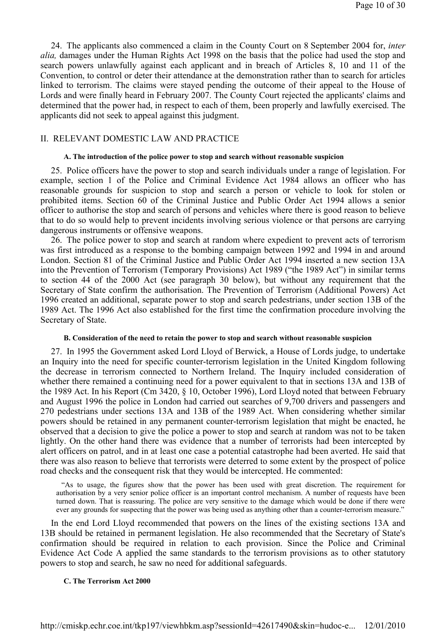24. The applicants also commenced a claim in the County Court on 8 September 2004 for, *inter alia,* damages under the Human Rights Act 1998 on the basis that the police had used the stop and search powers unlawfully against each applicant and in breach of Articles 8, 10 and 11 of the Convention, to control or deter their attendance at the demonstration rather than to search for articles linked to terrorism. The claims were stayed pending the outcome of their appeal to the House of Lords and were finally heard in February 2007. The County Court rejected the applicants' claims and determined that the power had, in respect to each of them, been properly and lawfully exercised. The applicants did not seek to appeal against this judgment.

## II. RELEVANT DOMESTIC LAW AND PRACTICE

### **A. The introduction of the police power to stop and search without reasonable suspicion**

25. Police officers have the power to stop and search individuals under a range of legislation. For example, section 1 of the Police and Criminal Evidence Act 1984 allows an officer who has reasonable grounds for suspicion to stop and search a person or vehicle to look for stolen or prohibited items. Section 60 of the Criminal Justice and Public Order Act 1994 allows a senior officer to authorise the stop and search of persons and vehicles where there is good reason to believe that to do so would help to prevent incidents involving serious violence or that persons are carrying dangerous instruments or offensive weapons.

26. The police power to stop and search at random where expedient to prevent acts of terrorism was first introduced as a response to the bombing campaign between 1992 and 1994 in and around London. Section 81 of the Criminal Justice and Public Order Act 1994 inserted a new section 13A into the Prevention of Terrorism (Temporary Provisions) Act 1989 ("the 1989 Act") in similar terms to section 44 of the 2000 Act (see paragraph 30 below), but without any requirement that the Secretary of State confirm the authorisation. The Prevention of Terrorism (Additional Powers) Act 1996 created an additional, separate power to stop and search pedestrians, under section 13B of the 1989 Act. The 1996 Act also established for the first time the confirmation procedure involving the Secretary of State.

#### **B. Consideration of the need to retain the power to stop and search without reasonable suspicion**

27. In 1995 the Government asked Lord Lloyd of Berwick, a House of Lords judge, to undertake an Inquiry into the need for specific counter-terrorism legislation in the United Kingdom following the decrease in terrorism connected to Northern Ireland. The Inquiry included consideration of whether there remained a continuing need for a power equivalent to that in sections 13A and 13B of the 1989 Act. In his Report (Cm 3420, § 10, October 1996), Lord Lloyd noted that between February and August 1996 the police in London had carried out searches of 9,700 drivers and passengers and 270 pedestrians under sections 13A and 13B of the 1989 Act. When considering whether similar powers should be retained in any permanent counter-terrorism legislation that might be enacted, he observed that a decision to give the police a power to stop and search at random was not to be taken lightly. On the other hand there was evidence that a number of terrorists had been intercepted by alert officers on patrol, and in at least one case a potential catastrophe had been averted. He said that there was also reason to believe that terrorists were deterred to some extent by the prospect of police road checks and the consequent risk that they would be intercepted. He commented:

"As to usage, the figures show that the power has been used with great discretion. The requirement for authorisation by a very senior police officer is an important control mechanism. A number of requests have been turned down. That is reassuring. The police are very sensitive to the damage which would be done if there were ever any grounds for suspecting that the power was being used as anything other than a counter-terrorism measure."

In the end Lord Lloyd recommended that powers on the lines of the existing sections 13A and 13B should be retained in permanent legislation. He also recommended that the Secretary of State's confirmation should be required in relation to each provision. Since the Police and Criminal Evidence Act Code A applied the same standards to the terrorism provisions as to other statutory powers to stop and search, he saw no need for additional safeguards.

## **C. The Terrorism Act 2000**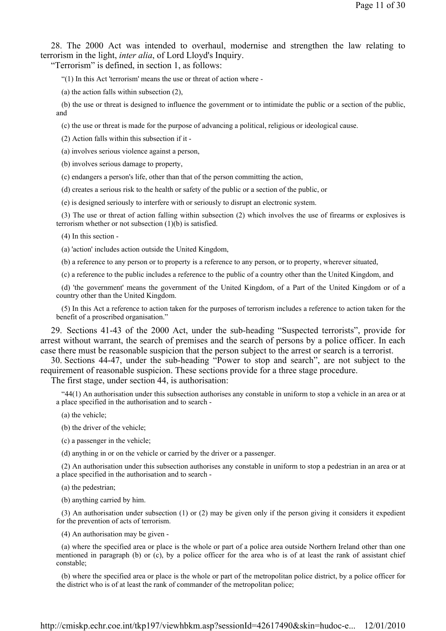28. The 2000 Act was intended to overhaul, modernise and strengthen the law relating to terrorism in the light, *inter alia*, of Lord Lloyd's Inquiry.

"Terrorism" is defined, in section 1, as follows:

"(1) In this Act 'terrorism' means the use or threat of action where -

(a) the action falls within subsection (2),

(b) the use or threat is designed to influence the government or to intimidate the public or a section of the public, and

(c) the use or threat is made for the purpose of advancing a political, religious or ideological cause.

(2) Action falls within this subsection if it -

(a) involves serious violence against a person,

(b) involves serious damage to property,

(c) endangers a person's life, other than that of the person committing the action,

(d) creates a serious risk to the health or safety of the public or a section of the public, or

(e) is designed seriously to interfere with or seriously to disrupt an electronic system.

(3) The use or threat of action falling within subsection (2) which involves the use of firearms or explosives is terrorism whether or not subsection (1)(b) is satisfied.

(4) In this section -

(a) 'action' includes action outside the United Kingdom,

(b) a reference to any person or to property is a reference to any person, or to property, wherever situated,

(c) a reference to the public includes a reference to the public of a country other than the United Kingdom, and

(d) 'the government' means the government of the United Kingdom, of a Part of the United Kingdom or of a country other than the United Kingdom.

(5) In this Act a reference to action taken for the purposes of terrorism includes a reference to action taken for the benefit of a proscribed organisation."

29. Sections 41-43 of the 2000 Act, under the sub-heading "Suspected terrorists", provide for arrest without warrant, the search of premises and the search of persons by a police officer. In each case there must be reasonable suspicion that the person subject to the arrest or search is a terrorist.

30. Sections 44-47, under the sub-heading "Power to stop and search", are not subject to the requirement of reasonable suspicion. These sections provide for a three stage procedure.

The first stage, under section 44, is authorisation:

"44(1) An authorisation under this subsection authorises any constable in uniform to stop a vehicle in an area or at a place specified in the authorisation and to search -

(a) the vehicle;

(b) the driver of the vehicle;

(c) a passenger in the vehicle;

(d) anything in or on the vehicle or carried by the driver or a passenger.

(2) An authorisation under this subsection authorises any constable in uniform to stop a pedestrian in an area or at a place specified in the authorisation and to search -

(a) the pedestrian;

(b) anything carried by him.

(3) An authorisation under subsection (1) or (2) may be given only if the person giving it considers it expedient for the prevention of acts of terrorism.

(4) An authorisation may be given -

(a) where the specified area or place is the whole or part of a police area outside Northern Ireland other than one mentioned in paragraph (b) or (c), by a police officer for the area who is of at least the rank of assistant chief constable;

(b) where the specified area or place is the whole or part of the metropolitan police district, by a police officer for the district who is of at least the rank of commander of the metropolitan police;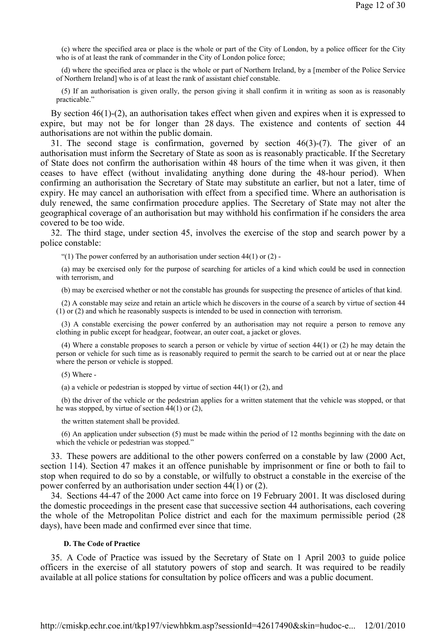(c) where the specified area or place is the whole or part of the City of London, by a police officer for the City who is of at least the rank of commander in the City of London police force;

(d) where the specified area or place is the whole or part of Northern Ireland, by a [member of the Police Service of Northern Ireland] who is of at least the rank of assistant chief constable.

(5) If an authorisation is given orally, the person giving it shall confirm it in writing as soon as is reasonably practicable."

By section 46(1)-(2), an authorisation takes effect when given and expires when it is expressed to expire, but may not be for longer than 28 days. The existence and contents of section 44 authorisations are not within the public domain.

31. The second stage is confirmation, governed by section 46(3)-(7). The giver of an authorisation must inform the Secretary of State as soon as is reasonably practicable. If the Secretary of State does not confirm the authorisation within 48 hours of the time when it was given, it then ceases to have effect (without invalidating anything done during the 48-hour period). When confirming an authorisation the Secretary of State may substitute an earlier, but not a later, time of expiry. He may cancel an authorisation with effect from a specified time. Where an authorisation is duly renewed, the same confirmation procedure applies. The Secretary of State may not alter the geographical coverage of an authorisation but may withhold his confirmation if he considers the area covered to be too wide.

32. The third stage, under section 45, involves the exercise of the stop and search power by a police constable:

"(1) The power conferred by an authorisation under section  $44(1)$  or  $(2)$  -

(a) may be exercised only for the purpose of searching for articles of a kind which could be used in connection with terrorism, and

(b) may be exercised whether or not the constable has grounds for suspecting the presence of articles of that kind.

(2) A constable may seize and retain an article which he discovers in the course of a search by virtue of section 44 (1) or (2) and which he reasonably suspects is intended to be used in connection with terrorism.

(3) A constable exercising the power conferred by an authorisation may not require a person to remove any clothing in public except for headgear, footwear, an outer coat, a jacket or gloves.

(4) Where a constable proposes to search a person or vehicle by virtue of section 44(1) or (2) he may detain the person or vehicle for such time as is reasonably required to permit the search to be carried out at or near the place where the person or vehicle is stopped.

(5) Where -

(a) a vehicle or pedestrian is stopped by virtue of section 44(1) or (2), and

(b) the driver of the vehicle or the pedestrian applies for a written statement that the vehicle was stopped, or that he was stopped, by virtue of section  $44(1)$  or (2),

the written statement shall be provided.

(6) An application under subsection (5) must be made within the period of 12 months beginning with the date on which the vehicle or pedestrian was stopped."

33. These powers are additional to the other powers conferred on a constable by law (2000 Act, section 114). Section 47 makes it an offence punishable by imprisonment or fine or both to fail to stop when required to do so by a constable, or wilfully to obstruct a constable in the exercise of the power conferred by an authorisation under section 44(1) or (2).

34. Sections 44-47 of the 2000 Act came into force on 19 February 2001. It was disclosed during the domestic proceedings in the present case that successive section 44 authorisations, each covering the whole of the Metropolitan Police district and each for the maximum permissible period (28 days), have been made and confirmed ever since that time.

#### **D. The Code of Practice**

35. A Code of Practice was issued by the Secretary of State on 1 April 2003 to guide police officers in the exercise of all statutory powers of stop and search. It was required to be readily available at all police stations for consultation by police officers and was a public document.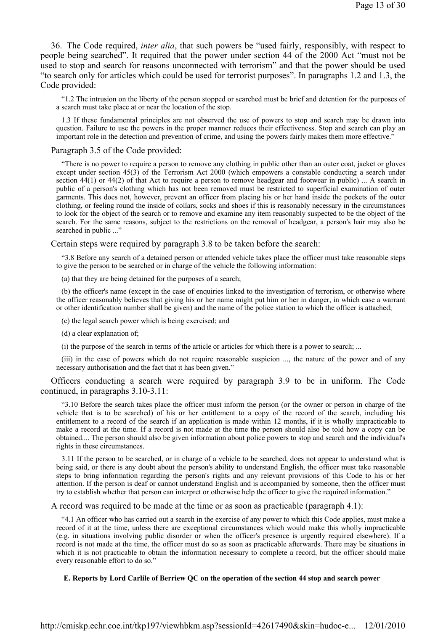36. The Code required, *inter alia*, that such powers be "used fairly, responsibly, with respect to people being searched". It required that the power under section 44 of the 2000 Act "must not be used to stop and search for reasons unconnected with terrorism" and that the power should be used "to search only for articles which could be used for terrorist purposes". In paragraphs 1.2 and 1.3, the Code provided:

"1.2 The intrusion on the liberty of the person stopped or searched must be brief and detention for the purposes of a search must take place at or near the location of the stop.

1.3 If these fundamental principles are not observed the use of powers to stop and search may be drawn into question. Failure to use the powers in the proper manner reduces their effectiveness. Stop and search can play an important role in the detection and prevention of crime, and using the powers fairly makes them more effective."

### Paragraph 3.5 of the Code provided:

"There is no power to require a person to remove any clothing in public other than an outer coat, jacket or gloves except under section 45(3) of the Terrorism Act 2000 (which empowers a constable conducting a search under section 44(1) or 44(2) of that Act to require a person to remove headgear and footwear in public) ... A search in public of a person's clothing which has not been removed must be restricted to superficial examination of outer garments. This does not, however, prevent an officer from placing his or her hand inside the pockets of the outer clothing, or feeling round the inside of collars, socks and shoes if this is reasonably necessary in the circumstances to look for the object of the search or to remove and examine any item reasonably suspected to be the object of the search. For the same reasons, subject to the restrictions on the removal of headgear, a person's hair may also be searched in public ..."

Certain steps were required by paragraph 3.8 to be taken before the search:

"3.8 Before any search of a detained person or attended vehicle takes place the officer must take reasonable steps to give the person to be searched or in charge of the vehicle the following information:

(a) that they are being detained for the purposes of a search;

(b) the officer's name (except in the case of enquiries linked to the investigation of terrorism, or otherwise where the officer reasonably believes that giving his or her name might put him or her in danger, in which case a warrant or other identification number shall be given) and the name of the police station to which the officer is attached;

(c) the legal search power which is being exercised; and

(d) a clear explanation of;

(i) the purpose of the search in terms of the article or articles for which there is a power to search; ...

(iii) in the case of powers which do not require reasonable suspicion ..., the nature of the power and of any necessary authorisation and the fact that it has been given."

Officers conducting a search were required by paragraph 3.9 to be in uniform. The Code continued, in paragraphs 3.10-3.11:

"3.10 Before the search takes place the officer must inform the person (or the owner or person in charge of the vehicle that is to be searched) of his or her entitlement to a copy of the record of the search, including his entitlement to a record of the search if an application is made within 12 months, if it is wholly impracticable to make a record at the time. If a record is not made at the time the person should also be told how a copy can be obtained.... The person should also be given information about police powers to stop and search and the individual's rights in these circumstances.

3.11 If the person to be searched, or in charge of a vehicle to be searched, does not appear to understand what is being said, or there is any doubt about the person's ability to understand English, the officer must take reasonable steps to bring information regarding the person's rights and any relevant provisions of this Code to his or her attention. If the person is deaf or cannot understand English and is accompanied by someone, then the officer must try to establish whether that person can interpret or otherwise help the officer to give the required information."

### A record was required to be made at the time or as soon as practicable (paragraph 4.1):

"4.1 An officer who has carried out a search in the exercise of any power to which this Code applies, must make a record of it at the time, unless there are exceptional circumstances which would make this wholly impracticable (e.g. in situations involving public disorder or when the officer's presence is urgently required elsewhere). If a record is not made at the time, the officer must do so as soon as practicable afterwards. There may be situations in which it is not practicable to obtain the information necessary to complete a record, but the officer should make every reasonable effort to do so."

### **E. Reports by Lord Carlile of Berriew QC on the operation of the section 44 stop and search power**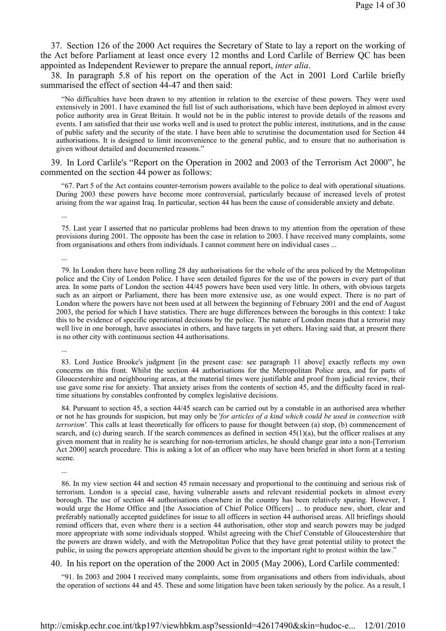37. Section 126 of the 2000 Act requires the Secretary of State to lay a report on the working of the Act before Parliament at least once every 12 months and Lord Carlile of Berriew QC has been appointed as Independent Reviewer to prepare the annual report, *inter alia*.

38. In paragraph 5.8 of his report on the operation of the Act in 2001 Lord Carlile briefly summarised the effect of section 44-47 and then said:

"No difficulties have been drawn to my attention in relation to the exercise of these powers. They were used extensively in 2001. I have examined the full list of such authorisations, which have been deployed in almost every police authority area in Great Britain. It would not be in the public interest to provide details of the reasons and events. I am satisfied that their use works well and is used to protect the public interest, institutions, and in the cause of public safety and the security of the state. I have been able to scrutinise the documentation used for Section 44 authorisations. It is designed to limit inconvenience to the general public, and to ensure that no authorisation is given without detailed and documented reasons."

39. In Lord Carlile's "Report on the Operation in 2002 and 2003 of the Terrorism Act 2000", he commented on the section 44 power as follows:

"67. Part 5 of the Act contains counter-terrorism powers available to the police to deal with operational situations. During 2003 these powers have become more controversial, particularly because of increased levels of protest arising from the war against Iraq. In particular, section 44 has been the cause of considerable anxiety and debate.

75. Last year I asserted that no particular problems had been drawn to my attention from the operation of these provisions during 2001. The opposite has been the case in relation to 2003. I have received many complaints, some from organisations and others from individuals. I cannot comment here on individual cases ...

79. In London there have been rolling 28 day authorisations for the whole of the area policed by the Metropolitan police and the City of London Police. I have seen detailed figures for the use of the powers in every part of that area. In some parts of London the section 44/45 powers have been used very little. In others, with obvious targets such as an airport or Parliament, there has been more extensive use, as one would expect. There is no part of London where the powers have not been used at all between the beginning of February 2001 and the end of August 2003, the period for which I have statistics. There are huge differences between the boroughs in this context: I take this to be evidence of specific operational decisions by the police. The nature of London means that a terrorist may well live in one borough, have associates in others, and have targets in yet others. Having said that, at present there is no other city with continuous section 44 authorisations.

...

...

...

...

83. Lord Justice Brooke's judgment [in the present case: see paragraph 11 above] exactly reflects my own concerns on this front. Whilst the section 44 authorisations for the Metropolitan Police area, and for parts of Gloucestershire and neighbouring areas, at the material times were justifiable and proof from judicial review, their use gave some rise for anxiety. That anxiety arises from the contents of section 45, and the difficulty faced in realtime situations by constables confronted by complex legislative decisions.

84. Pursuant to section 45, a section 44/45 search can be carried out by a constable in an authorised area whether or not he has grounds for suspicion, but may only be '*for articles of a kind which could be used in connection with terrorism'*. This calls at least theoretically for officers to pause for thought between (a) stop, (b) commencement of search, and (c) during search. If the search commences as defined in section  $45(1)(a)$ , but the officer realises at any given moment that in reality he is searching for non-terrorism articles, he should change gear into a non-[Terrorism Act 2000] search procedure. This is asking a lot of an officer who may have been briefed in short form at a testing scene.

86. In my view section 44 and section 45 remain necessary and proportional to the continuing and serious risk of terrorism. London is a special case, having vulnerable assets and relevant residential pockets in almost every borough. The use of section 44 authorisations elsewhere in the country has been relatively sparing. However, I would urge the Home Office and [the Association of Chief Police Officers] ... to produce new, short, clear and preferably nationally accepted guidelines for issue to all officers in section 44 authorised areas. All briefings should remind officers that, even where there is a section 44 authorisation, other stop and search powers may be judged more appropriate with some individuals stopped. Whilst agreeing with the Chief Constable of Gloucestershire that the powers are drawn widely, and with the Metropolitan Police that they have great potential utility to protect the public, in using the powers appropriate attention should be given to the important right to protest within the law."

40. In his report on the operation of the 2000 Act in 2005 (May 2006), Lord Carlile commented:

"91. In 2003 and 2004 I received many complaints, some from organisations and others from individuals, about the operation of sections 44 and 45. These and some litigation have been taken seriously by the police. As a result, I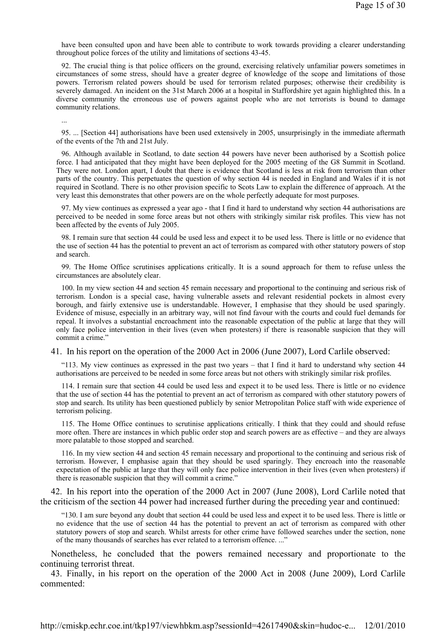have been consulted upon and have been able to contribute to work towards providing a clearer understanding throughout police forces of the utility and limitations of sections 43-45.

92. The crucial thing is that police officers on the ground, exercising relatively unfamiliar powers sometimes in circumstances of some stress, should have a greater degree of knowledge of the scope and limitations of those powers. Terrorism related powers should be used for terrorism related purposes; otherwise their credibility is severely damaged. An incident on the 31st March 2006 at a hospital in Staffordshire yet again highlighted this. In a diverse community the erroneous use of powers against people who are not terrorists is bound to damage community relations.

...

95. ... [Section 44] authorisations have been used extensively in 2005, unsurprisingly in the immediate aftermath of the events of the 7th and 21st July.

96. Although available in Scotland, to date section 44 powers have never been authorised by a Scottish police force. I had anticipated that they might have been deployed for the 2005 meeting of the G8 Summit in Scotland. They were not. London apart, I doubt that there is evidence that Scotland is less at risk from terrorism than other parts of the country. This perpetuates the question of why section 44 is needed in England and Wales if it is not required in Scotland. There is no other provision specific to Scots Law to explain the difference of approach. At the very least this demonstrates that other powers are on the whole perfectly adequate for most purposes.

97. My view continues as expressed a year ago - that I find it hard to understand why section 44 authorisations are perceived to be needed in some force areas but not others with strikingly similar risk profiles. This view has not been affected by the events of July 2005.

98. I remain sure that section 44 could be used less and expect it to be used less. There is little or no evidence that the use of section 44 has the potential to prevent an act of terrorism as compared with other statutory powers of stop and search.

99. The Home Office scrutinises applications critically. It is a sound approach for them to refuse unless the circumstances are absolutely clear.

100. In my view section 44 and section 45 remain necessary and proportional to the continuing and serious risk of terrorism. London is a special case, having vulnerable assets and relevant residential pockets in almost every borough, and fairly extensive use is understandable. However, I emphasise that they should be used sparingly. Evidence of misuse, especially in an arbitrary way, will not find favour with the courts and could fuel demands for repeal. It involves a substantial encroachment into the reasonable expectation of the public at large that they will only face police intervention in their lives (even when protesters) if there is reasonable suspicion that they will commit a crime."

41. In his report on the operation of the 2000 Act in 2006 (June 2007), Lord Carlile observed:

"113. My view continues as expressed in the past two years – that I find it hard to understand why section 44 authorisations are perceived to be needed in some force areas but not others with strikingly similar risk profiles.

114. I remain sure that section 44 could be used less and expect it to be used less. There is little or no evidence that the use of section 44 has the potential to prevent an act of terrorism as compared with other statutory powers of stop and search. Its utility has been questioned publicly by senior Metropolitan Police staff with wide experience of terrorism policing.

115. The Home Office continues to scrutinise applications critically. I think that they could and should refuse more often. There are instances in which public order stop and search powers are as effective – and they are always more palatable to those stopped and searched.

116. In my view section 44 and section 45 remain necessary and proportional to the continuing and serious risk of terrorism. However, I emphasise again that they should be used sparingly. They encroach into the reasonable expectation of the public at large that they will only face police intervention in their lives (even when protesters) if there is reasonable suspicion that they will commit a crime."

42. In his report into the operation of the 2000 Act in 2007 (June 2008), Lord Carlile noted that the criticism of the section 44 power had increased further during the preceding year and continued:

"130. I am sure beyond any doubt that section 44 could be used less and expect it to be used less. There is little or no evidence that the use of section 44 has the potential to prevent an act of terrorism as compared with other statutory powers of stop and search. Whilst arrests for other crime have followed searches under the section, none of the many thousands of searches has ever related to a terrorism offence. ..."

Nonetheless, he concluded that the powers remained necessary and proportionate to the continuing terrorist threat.

43. Finally, in his report on the operation of the 2000 Act in 2008 (June 2009), Lord Carlile commented: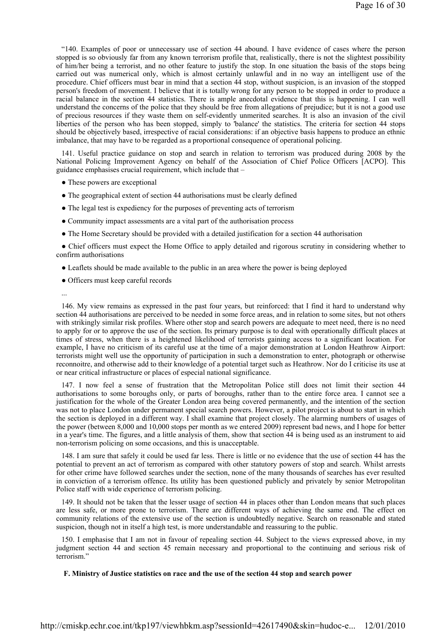"140. Examples of poor or unnecessary use of section 44 abound. I have evidence of cases where the person stopped is so obviously far from any known terrorism profile that, realistically, there is not the slightest possibility of him/her being a terrorist, and no other feature to justify the stop. In one situation the basis of the stops being carried out was numerical only, which is almost certainly unlawful and in no way an intelligent use of the procedure. Chief officers must bear in mind that a section 44 stop, without suspicion, is an invasion of the stopped person's freedom of movement. I believe that it is totally wrong for any person to be stopped in order to produce a racial balance in the section 44 statistics. There is ample anecdotal evidence that this is happening. I can well understand the concerns of the police that they should be free from allegations of prejudice; but it is not a good use of precious resources if they waste them on self-evidently unmerited searches. It is also an invasion of the civil liberties of the person who has been stopped, simply to 'balance' the statistics. The criteria for section 44 stops should be objectively based, irrespective of racial considerations: if an objective basis happens to produce an ethnic imbalance, that may have to be regarded as a proportional consequence of operational policing.

141. Useful practice guidance on stop and search in relation to terrorism was produced during 2008 by the National Policing Improvement Agency on behalf of the Association of Chief Police Officers [ACPO]. This guidance emphasises crucial requirement, which include that –

- These powers are exceptional
- The geographical extent of section 44 authorisations must be clearly defined
- The legal test is expediency for the purposes of preventing acts of terrorism
- Community impact assessments are a vital part of the authorisation process
- The Home Secretary should be provided with a detailed justification for a section 44 authorisation

● Chief officers must expect the Home Office to apply detailed and rigorous scrutiny in considering whether to confirm authorisations

- Leaflets should be made available to the public in an area where the power is being deployed
- Officers must keep careful records
- ...

146. My view remains as expressed in the past four years, but reinforced: that I find it hard to understand why section 44 authorisations are perceived to be needed in some force areas, and in relation to some sites, but not others with strikingly similar risk profiles. Where other stop and search powers are adequate to meet need, there is no need to apply for or to approve the use of the section. Its primary purpose is to deal with operationally difficult places at times of stress, when there is a heightened likelihood of terrorists gaining access to a significant location. For example, I have no criticism of its careful use at the time of a major demonstration at London Heathrow Airport: terrorists might well use the opportunity of participation in such a demonstration to enter, photograph or otherwise reconnoitre, and otherwise add to their knowledge of a potential target such as Heathrow. Nor do I criticise its use at or near critical infrastructure or places of especial national significance.

147. I now feel a sense of frustration that the Metropolitan Police still does not limit their section 44 authorisations to some boroughs only, or parts of boroughs, rather than to the entire force area. I cannot see a justification for the whole of the Greater London area being covered permanently, and the intention of the section was not to place London under permanent special search powers. However, a pilot project is about to start in which the section is deployed in a different way. I shall examine that project closely. The alarming numbers of usages of the power (between 8,000 and 10,000 stops per month as we entered 2009) represent bad news, and I hope for better in a year's time. The figures, and a little analysis of them, show that section 44 is being used as an instrument to aid non-terrorism policing on some occasions, and this is unacceptable.

148. I am sure that safely it could be used far less. There is little or no evidence that the use of section 44 has the potential to prevent an act of terrorism as compared with other statutory powers of stop and search. Whilst arrests for other crime have followed searches under the section, none of the many thousands of searches has ever resulted in conviction of a terrorism offence. Its utility has been questioned publicly and privately by senior Metropolitan Police staff with wide experience of terrorism policing.

149. It should not be taken that the lesser usage of section 44 in places other than London means that such places are less safe, or more prone to terrorism. There are different ways of achieving the same end. The effect on community relations of the extensive use of the section is undoubtedly negative. Search on reasonable and stated suspicion, though not in itself a high test, is more understandable and reassuring to the public.

150. I emphasise that I am not in favour of repealing section 44. Subject to the views expressed above, in my judgment section 44 and section 45 remain necessary and proportional to the continuing and serious risk of terrorism."

#### **F. Ministry of Justice statistics on race and the use of the section 44 stop and search power**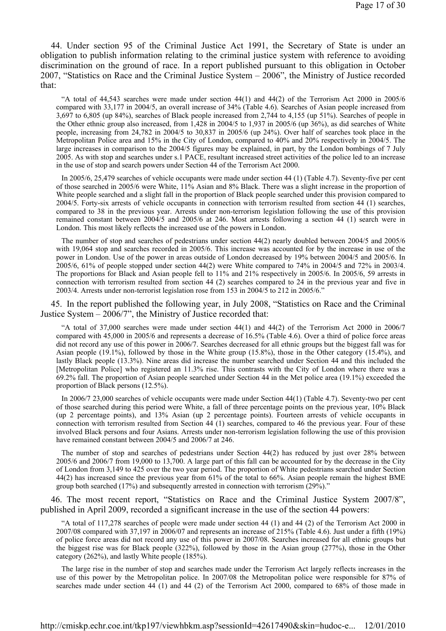44. Under section 95 of the Criminal Justice Act 1991, the Secretary of State is under an obligation to publish information relating to the criminal justice system with reference to avoiding discrimination on the ground of race. In a report published pursuant to this obligation in October 2007, "Statistics on Race and the Criminal Justice System – 2006", the Ministry of Justice recorded that:

"A total of  $44,543$  searches were made under section  $44(1)$  and  $44(2)$  of the Terrorism Act 2000 in 2005/6 compared with 33,177 in 2004/5, an overall increase of 34% (Table 4.6). Searches of Asian people increased from 3,697 to 6,805 (up 84%), searches of Black people increased from 2,744 to 4,155 (up 51%). Searches of people in the Other ethnic group also increased, from 1,428 in 2004/5 to 1,937 in 2005/6 (up 36%), as did searches of White people, increasing from 24,782 in 2004/5 to 30,837 in 2005/6 (up 24%). Over half of searches took place in the Metropolitan Police area and 15% in the City of London, compared to 40% and 20% respectively in 2004/5. The large increases in comparison to the 2004/5 figures may be explained, in part, by the London bombings of 7 July 2005. As with stop and searches under s.1 PACE, resultant increased street activities of the police led to an increase in the use of stop and search powers under Section 44 of the Terrorism Act 2000.

In 2005/6, 25,479 searches of vehicle occupants were made under section 44 (1) (Table 4.7). Seventy-five per cent of those searched in 2005/6 were White, 11% Asian and 8% Black. There was a slight increase in the proportion of White people searched and a slight fall in the proportion of Black people searched under this provision compared to 2004/5. Forty-six arrests of vehicle occupants in connection with terrorism resulted from section 44 (1) searches, compared to 38 in the previous year. Arrests under non-terrorism legislation following the use of this provision remained constant between 2004/5 and 2005/6 at 246. Most arrests following a section 44 (1) search were in London. This most likely reflects the increased use of the powers in London.

The number of stop and searches of pedestrians under section 44(2) nearly doubled between 2004/5 and 2005/6 with 19,064 stop and searches recorded in 2005/6. This increase was accounted for by the increase in use of the power in London. Use of the power in areas outside of London decreased by 19% between 2004/5 and 2005/6. In 2005/6, 61% of people stopped under section 44(2) were White compared to 74% in 2004/5 and 72% in 2003/4. The proportions for Black and Asian people fell to 11% and 21% respectively in 2005/6. In 2005/6, 59 arrests in connection with terrorism resulted from section 44 (2) searches compared to 24 in the previous year and five in 2003/4. Arrests under non-terrorist legislation rose from 153 in 2004/5 to 212 in 2005/6."

45. In the report published the following year, in July 2008, "Statistics on Race and the Criminal Justice System – 2006/7", the Ministry of Justice recorded that:

"A total of 37,000 searches were made under section  $44(1)$  and  $44(2)$  of the Terrorism Act 2000 in 2006/7 compared with 45,000 in 2005/6 and represents a decrease of 16.5% (Table 4.6). Over a third of police force areas did not record any use of this power in 2006/7. Searches decreased for all ethnic groups but the biggest fall was for Asian people (19.1%), followed by those in the White group (15.8%), those in the Other category (15.4%), and lastly Black people (13.3%). Nine areas did increase the number searched under Section 44 and this included the [Metropolitan Police] who registered an 11.3% rise. This contrasts with the City of London where there was a 69.2% fall. The proportion of Asian people searched under Section 44 in the Met police area (19.1%) exceeded the proportion of Black persons (12.5%).

In 2006/7 23,000 searches of vehicle occupants were made under Section 44(1) (Table 4.7). Seventy-two per cent of those searched during this period were White, a fall of three percentage points on the previous year, 10% Black (up 2 percentage points), and 13% Asian (up 2 percentage points). Fourteen arrests of vehicle occupants in connection with terrorism resulted from Section 44 (1) searches, compared to 46 the previous year. Four of these involved Black persons and four Asians. Arrests under non-terrorism legislation following the use of this provision have remained constant between 2004/5 and 2006/7 at 246.

The number of stop and searches of pedestrians under Section 44(2) has reduced by just over 28% between 2005/6 and 2006/7 from 19,000 to 13,700. A large part of this fall can be accounted for by the decrease in the City of London from 3,149 to 425 over the two year period. The proportion of White pedestrians searched under Section 44(2) has increased since the previous year from 61% of the total to 66%. Asian people remain the highest BME group both searched (17%) and subsequently arrested in connection with terrorism (29%)."

46. The most recent report, "Statistics on Race and the Criminal Justice System 2007/8", published in April 2009, recorded a significant increase in the use of the section 44 powers:

"A total of 117,278 searches of people were made under section 44 (1) and 44 (2) of the Terrorism Act 2000 in 2007/08 compared with 37,197 in 2006/07 and represents an increase of 215% (Table 4.6). Just under a fifth (19%) of police force areas did not record any use of this power in 2007/08. Searches increased for all ethnic groups but the biggest rise was for Black people (322%), followed by those in the Asian group (277%), those in the Other category (262%), and lastly White people (185%).

The large rise in the number of stop and searches made under the Terrorism Act largely reflects increases in the use of this power by the Metropolitan police. In 2007/08 the Metropolitan police were responsible for 87% of searches made under section 44 (1) and 44 (2) of the Terrorism Act 2000, compared to 68% of those made in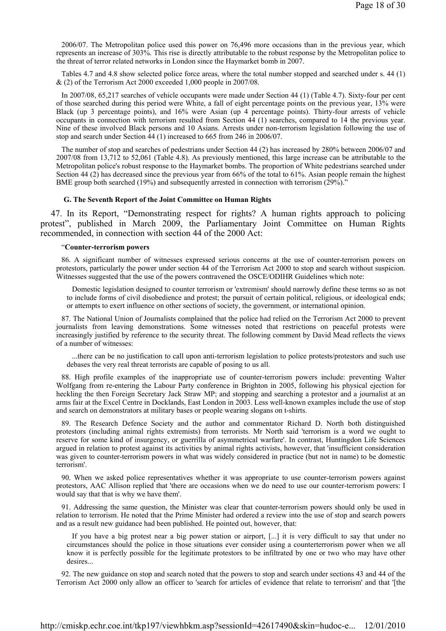2006/07. The Metropolitan police used this power on 76,496 more occasions than in the previous year, which represents an increase of 303%. This rise is directly attributable to the robust response by the Metropolitan police to the threat of terror related networks in London since the Haymarket bomb in 2007.

Tables 4.7 and 4.8 show selected police force areas, where the total number stopped and searched under s. 44 (1) & (2) of the Terrorism Act 2000 exceeded 1,000 people in 2007/08.

In 2007/08, 65,217 searches of vehicle occupants were made under Section 44 (1) (Table 4.7). Sixty-four per cent of those searched during this period were White, a fall of eight percentage points on the previous year, 13% were Black (up 3 percentage points), and 16% were Asian (up 4 percentage points). Thirty-four arrests of vehicle occupants in connection with terrorism resulted from Section 44 (1) searches, compared to 14 the previous year. Nine of these involved Black persons and 10 Asians. Arrests under non-terrorism legislation following the use of stop and search under Section 44 (1) increased to 665 from 246 in 2006/07.

The number of stop and searches of pedestrians under Section 44 (2) has increased by 280% between 2006/07 and 2007/08 from 13,712 to 52,061 (Table 4.8). As previously mentioned, this large increase can be attributable to the Metropolitan police's robust response to the Haymarket bombs. The proportion of White pedestrians searched under Section 44 (2) has decreased since the previous year from 66% of the total to 61%. Asian people remain the highest BME group both searched (19%) and subsequently arrested in connection with terrorism (29%)."

#### **G. The Seventh Report of the Joint Committee on Human Rights**

47. In its Report, "Demonstrating respect for rights? A human rights approach to policing protest", published in March 2009, the Parliamentary Joint Committee on Human Rights recommended, in connection with section 44 of the 2000 Act:

#### "**Counter-terrorism powers**

86. A significant number of witnesses expressed serious concerns at the use of counter-terrorism powers on protestors, particularly the power under section 44 of the Terrorism Act 2000 to stop and search without suspicion. Witnesses suggested that the use of the powers contravened the OSCE/ODIHR Guidelines which note:

Domestic legislation designed to counter terrorism or 'extremism' should narrowly define these terms so as not to include forms of civil disobedience and protest; the pursuit of certain political, religious, or ideological ends; or attempts to exert influence on other sections of society, the government, or international opinion.

87. The National Union of Journalists complained that the police had relied on the Terrorism Act 2000 to prevent journalists from leaving demonstrations. Some witnesses noted that restrictions on peaceful protests were increasingly justified by reference to the security threat. The following comment by David Mead reflects the views of a number of witnesses:

...there can be no justification to call upon anti-terrorism legislation to police protests/protestors and such use debases the very real threat terrorists are capable of posing to us all.

88. High profile examples of the inappropriate use of counter-terrorism powers include: preventing Walter Wolfgang from re-entering the Labour Party conference in Brighton in 2005, following his physical ejection for heckling the then Foreign Secretary Jack Straw MP; and stopping and searching a protestor and a journalist at an arms fair at the Excel Centre in Docklands, East London in 2003. Less well-known examples include the use of stop and search on demonstrators at military bases or people wearing slogans on t-shirts.

89. The Research Defence Society and the author and commentator Richard D. North both distinguished protestors (including animal rights extremists) from terrorists. Mr North said 'terrorism is a word we ought to reserve for some kind of insurgency, or guerrilla of asymmetrical warfare'. In contrast, Huntingdon Life Sciences argued in relation to protest against its activities by animal rights activists, however, that 'insufficient consideration was given to counter-terrorism powers in what was widely considered in practice (but not in name) to be domestic terrorism'.

90. When we asked police representatives whether it was appropriate to use counter-terrorism powers against protestors, AAC Allison replied that 'there are occasions when we do need to use our counter-terrorism powers: I would say that that is why we have them'.

91. Addressing the same question, the Minister was clear that counter-terrorism powers should only be used in relation to terrorism. He noted that the Prime Minister had ordered a review into the use of stop and search powers and as a result new guidance had been published. He pointed out, however, that:

If you have a big protest near a big power station or airport, [...] it is very difficult to say that under no circumstances should the police in those situations ever consider using a counterterrorism power when we all know it is perfectly possible for the legitimate protestors to be infiltrated by one or two who may have other desires...

92. The new guidance on stop and search noted that the powers to stop and search under sections 43 and 44 of the Terrorism Act 2000 only allow an officer to 'search for articles of evidence that relate to terrorism' and that '[the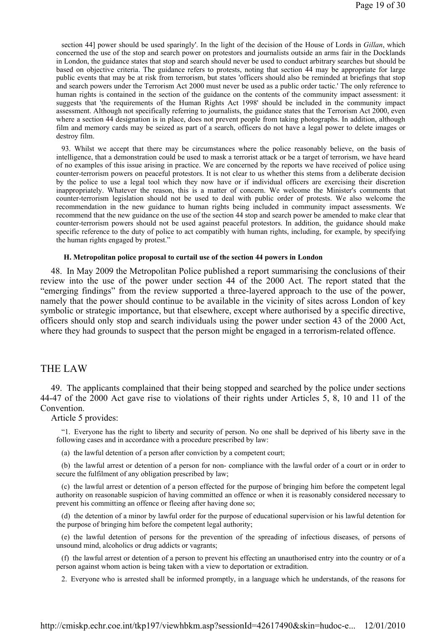section 44] power should be used sparingly'. In the light of the decision of the House of Lords in *Gillan*, which concerned the use of the stop and search power on protestors and journalists outside an arms fair in the Docklands in London, the guidance states that stop and search should never be used to conduct arbitrary searches but should be based on objective criteria. The guidance refers to protests, noting that section 44 may be appropriate for large public events that may be at risk from terrorism, but states 'officers should also be reminded at briefings that stop and search powers under the Terrorism Act 2000 must never be used as a public order tactic.' The only reference to human rights is contained in the section of the guidance on the contents of the community impact assessment: it suggests that 'the requirements of the Human Rights Act 1998' should be included in the community impact assessment. Although not specifically referring to journalists, the guidance states that the Terrorism Act 2000, even where a section 44 designation is in place, does not prevent people from taking photographs. In addition, although film and memory cards may be seized as part of a search, officers do not have a legal power to delete images or destroy film.

93. Whilst we accept that there may be circumstances where the police reasonably believe, on the basis of intelligence, that a demonstration could be used to mask a terrorist attack or be a target of terrorism, we have heard of no examples of this issue arising in practice. We are concerned by the reports we have received of police using counter-terrorism powers on peaceful protestors. It is not clear to us whether this stems from a deliberate decision by the police to use a legal tool which they now have or if individual officers are exercising their discretion inappropriately. Whatever the reason, this is a matter of concern. We welcome the Minister's comments that counter-terrorism legislation should not be used to deal with public order of protests. We also welcome the recommendation in the new guidance to human rights being included in community impact assessments. We recommend that the new guidance on the use of the section 44 stop and search power be amended to make clear that counter-terrorism powers should not be used against peaceful protestors. In addition, the guidance should make specific reference to the duty of police to act compatibly with human rights, including, for example, by specifying the human rights engaged by protest."

#### **H. Metropolitan police proposal to curtail use of the section 44 powers in London**

48. In May 2009 the Metropolitan Police published a report summarising the conclusions of their review into the use of the power under section 44 of the 2000 Act. The report stated that the "emerging findings" from the review supported a three-layered approach to the use of the power, namely that the power should continue to be available in the vicinity of sites across London of key symbolic or strategic importance, but that elsewhere, except where authorised by a specific directive, officers should only stop and search individuals using the power under section 43 of the 2000 Act, where they had grounds to suspect that the person might be engaged in a terrorism-related offence.

## THE LAW

49. The applicants complained that their being stopped and searched by the police under sections 44-47 of the 2000 Act gave rise to violations of their rights under Articles 5, 8, 10 and 11 of the Convention.

Article 5 provides:

"1. Everyone has the right to liberty and security of person. No one shall be deprived of his liberty save in the following cases and in accordance with a procedure prescribed by law:

(a) the lawful detention of a person after conviction by a competent court;

(b) the lawful arrest or detention of a person for non- compliance with the lawful order of a court or in order to secure the fulfilment of any obligation prescribed by law;

(c) the lawful arrest or detention of a person effected for the purpose of bringing him before the competent legal authority on reasonable suspicion of having committed an offence or when it is reasonably considered necessary to prevent his committing an offence or fleeing after having done so;

(d) the detention of a minor by lawful order for the purpose of educational supervision or his lawful detention for the purpose of bringing him before the competent legal authority;

(e) the lawful detention of persons for the prevention of the spreading of infectious diseases, of persons of unsound mind, alcoholics or drug addicts or vagrants;

(f) the lawful arrest or detention of a person to prevent his effecting an unauthorised entry into the country or of a person against whom action is being taken with a view to deportation or extradition.

2. Everyone who is arrested shall be informed promptly, in a language which he understands, of the reasons for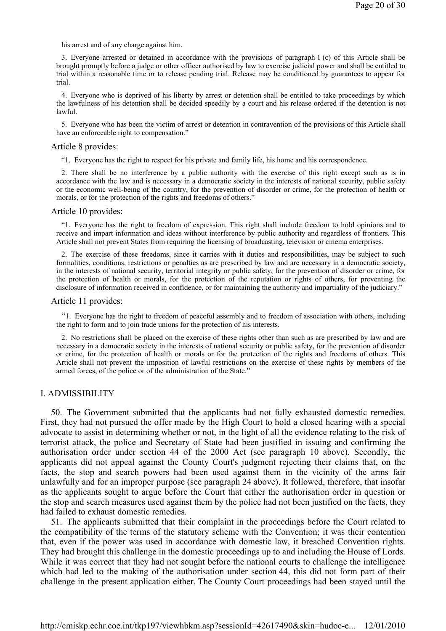his arrest and of any charge against him.

3. Everyone arrested or detained in accordance with the provisions of paragraph 1 (c) of this Article shall be brought promptly before a judge or other officer authorised by law to exercise judicial power and shall be entitled to trial within a reasonable time or to release pending trial. Release may be conditioned by guarantees to appear for trial.

4. Everyone who is deprived of his liberty by arrest or detention shall be entitled to take proceedings by which the lawfulness of his detention shall be decided speedily by a court and his release ordered if the detention is not lawful.

5. Everyone who has been the victim of arrest or detention in contravention of the provisions of this Article shall have an enforceable right to compensation."

#### Article 8 provides:

"1. Everyone has the right to respect for his private and family life, his home and his correspondence.

2. There shall be no interference by a public authority with the exercise of this right except such as is in accordance with the law and is necessary in a democratic society in the interests of national security, public safety or the economic well-being of the country, for the prevention of disorder or crime, for the protection of health or morals, or for the protection of the rights and freedoms of others."

#### Article 10 provides:

"1. Everyone has the right to freedom of expression. This right shall include freedom to hold opinions and to receive and impart information and ideas without interference by public authority and regardless of frontiers. This Article shall not prevent States from requiring the licensing of broadcasting, television or cinema enterprises.

2. The exercise of these freedoms, since it carries with it duties and responsibilities, may be subject to such formalities, conditions, restrictions or penalties as are prescribed by law and are necessary in a democratic society, in the interests of national security, territorial integrity or public safety, for the prevention of disorder or crime, for the protection of health or morals, for the protection of the reputation or rights of others, for preventing the disclosure of information received in confidence, or for maintaining the authority and impartiality of the judiciary."

## Article 11 provides:

"1. Everyone has the right to freedom of peaceful assembly and to freedom of association with others, including the right to form and to join trade unions for the protection of his interests.

2. No restrictions shall be placed on the exercise of these rights other than such as are prescribed by law and are necessary in a democratic society in the interests of national security or public safety, for the prevention of disorder or crime, for the protection of health or morals or for the protection of the rights and freedoms of others. This Article shall not prevent the imposition of lawful restrictions on the exercise of these rights by members of the armed forces, of the police or of the administration of the State."

### I. ADMISSIBILITY

50. The Government submitted that the applicants had not fully exhausted domestic remedies. First, they had not pursued the offer made by the High Court to hold a closed hearing with a special advocate to assist in determining whether or not, in the light of all the evidence relating to the risk of terrorist attack, the police and Secretary of State had been justified in issuing and confirming the authorisation order under section 44 of the 2000 Act (see paragraph 10 above). Secondly, the applicants did not appeal against the County Court's judgment rejecting their claims that, on the facts, the stop and search powers had been used against them in the vicinity of the arms fair unlawfully and for an improper purpose (see paragraph 24 above). It followed, therefore, that insofar as the applicants sought to argue before the Court that either the authorisation order in question or the stop and search measures used against them by the police had not been justified on the facts, they had failed to exhaust domestic remedies.

51. The applicants submitted that their complaint in the proceedings before the Court related to the compatibility of the terms of the statutory scheme with the Convention; it was their contention that, even if the power was used in accordance with domestic law, it breached Convention rights. They had brought this challenge in the domestic proceedings up to and including the House of Lords. While it was correct that they had not sought before the national courts to challenge the intelligence which had led to the making of the authorisation under section 44, this did not form part of their challenge in the present application either. The County Court proceedings had been stayed until the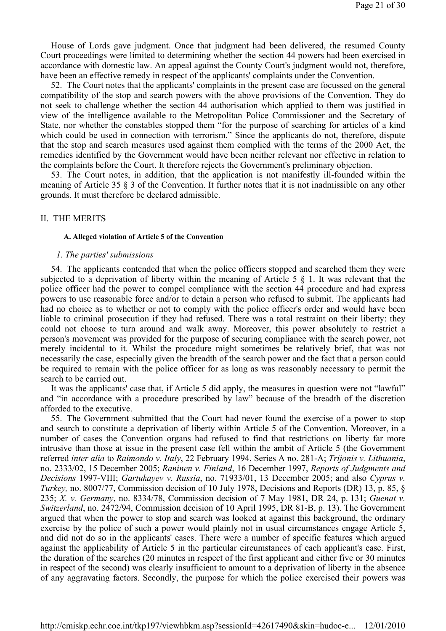House of Lords gave judgment. Once that judgment had been delivered, the resumed County Court proceedings were limited to determining whether the section 44 powers had been exercised in accordance with domestic law. An appeal against the County Court's judgment would not, therefore, have been an effective remedy in respect of the applicants' complaints under the Convention.

52. The Court notes that the applicants' complaints in the present case are focussed on the general compatibility of the stop and search powers with the above provisions of the Convention. They do not seek to challenge whether the section 44 authorisation which applied to them was justified in view of the intelligence available to the Metropolitan Police Commissioner and the Secretary of State, nor whether the constables stopped them "for the purpose of searching for articles of a kind which could be used in connection with terrorism." Since the applicants do not, therefore, dispute that the stop and search measures used against them complied with the terms of the 2000 Act, the remedies identified by the Government would have been neither relevant nor effective in relation to the complaints before the Court. It therefore rejects the Government's preliminary objection.

53. The Court notes, in addition, that the application is not manifestly ill-founded within the meaning of Article 35 § 3 of the Convention. It further notes that it is not inadmissible on any other grounds. It must therefore be declared admissible.

## II. THE MERITS

## **A. Alleged violation of Article 5 of the Convention**

#### *1. The parties' submissions*

54. The applicants contended that when the police officers stopped and searched them they were subjected to a deprivation of liberty within the meaning of Article 5 § 1. It was relevant that the police officer had the power to compel compliance with the section 44 procedure and had express powers to use reasonable force and/or to detain a person who refused to submit. The applicants had had no choice as to whether or not to comply with the police officer's order and would have been liable to criminal prosecution if they had refused. There was a total restraint on their liberty: they could not choose to turn around and walk away. Moreover, this power absolutely to restrict a person's movement was provided for the purpose of securing compliance with the search power, not merely incidental to it. Whilst the procedure might sometimes be relatively brief, that was not necessarily the case, especially given the breadth of the search power and the fact that a person could be required to remain with the police officer for as long as was reasonably necessary to permit the search to be carried out.

It was the applicants' case that, if Article 5 did apply, the measures in question were not "lawful" and "in accordance with a procedure prescribed by law" because of the breadth of the discretion afforded to the executive.

55. The Government submitted that the Court had never found the exercise of a power to stop and search to constitute a deprivation of liberty within Article 5 of the Convention. Moreover, in a number of cases the Convention organs had refused to find that restrictions on liberty far more intrusive than those at issue in the present case fell within the ambit of Article 5 (the Government referred *inter alia* to *Raimondo v. Italy*, 22 February 1994, Series A no. 281-A; *Trijonis v. Lithuania*, no. 2333/02, 15 December 2005; *Raninen v. Finland*, 16 December 1997, *Reports of Judgments and Decisions* 1997-VIII; *Gartukayev v. Russia*, no. 71933/01, 13 December 2005; and also *Cyprus v. Turkey,* no. 8007/77, Commission decision of 10 July 1978, Decisions and Reports (DR) 13, p. 85, § 235; *X. v. Germany*, no. 8334/78, Commission decision of 7 May 1981, DR 24, p. 131; *Guenat v. Switzerland*, no. 2472/94, Commission decision of 10 April 1995, DR 81-B, p. 13). The Government argued that when the power to stop and search was looked at against this background, the ordinary exercise by the police of such a power would plainly not in usual circumstances engage Article 5, and did not do so in the applicants' cases. There were a number of specific features which argued against the applicability of Article 5 in the particular circumstances of each applicant's case. First, the duration of the searches (20 minutes in respect of the first applicant and either five or 30 minutes in respect of the second) was clearly insufficient to amount to a deprivation of liberty in the absence of any aggravating factors. Secondly, the purpose for which the police exercised their powers was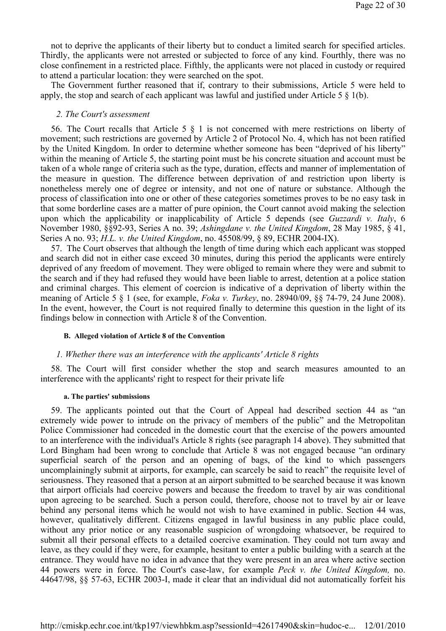not to deprive the applicants of their liberty but to conduct a limited search for specified articles. Thirdly, the applicants were not arrested or subjected to force of any kind. Fourthly, there was no close confinement in a restricted place. Fifthly, the applicants were not placed in custody or required to attend a particular location: they were searched on the spot.

The Government further reasoned that if, contrary to their submissions, Article 5 were held to apply, the stop and search of each applicant was lawful and justified under Article 5 § 1(b).

## *2. The Court's assessment*

56. The Court recalls that Article 5 § 1 is not concerned with mere restrictions on liberty of movement; such restrictions are governed by Article 2 of Protocol No. 4, which has not been ratified by the United Kingdom. In order to determine whether someone has been "deprived of his liberty" within the meaning of Article 5, the starting point must be his concrete situation and account must be taken of a whole range of criteria such as the type, duration, effects and manner of implementation of the measure in question. The difference between deprivation of and restriction upon liberty is nonetheless merely one of degree or intensity, and not one of nature or substance. Although the process of classification into one or other of these categories sometimes proves to be no easy task in that some borderline cases are a matter of pure opinion, the Court cannot avoid making the selection upon which the applicability or inapplicability of Article 5 depends (see *Guzzardi v. Italy*, 6 November 1980, §§92-93, Series A no. 39; *Ashingdane v. the United Kingdom*, 28 May 1985, § 41, Series A no. 93; *H.L. v. the United Kingdom*, no. 45508/99, § 89, ECHR 2004-IX).

57. The Court observes that although the length of time during which each applicant was stopped and search did not in either case exceed 30 minutes, during this period the applicants were entirely deprived of any freedom of movement. They were obliged to remain where they were and submit to the search and if they had refused they would have been liable to arrest, detention at a police station and criminal charges. This element of coercion is indicative of a deprivation of liberty within the meaning of Article 5 § 1 (see, for example, *Foka v. Turkey*, no. 28940/09, §§ 74-79, 24 June 2008). In the event, however, the Court is not required finally to determine this question in the light of its findings below in connection with Article 8 of the Convention.

## **B. Alleged violation of Article 8 of the Convention**

## *1. Whether there was an interference with the applicants' Article 8 rights*

58. The Court will first consider whether the stop and search measures amounted to an interference with the applicants' right to respect for their private life

## **a. The parties' submissions**

59. The applicants pointed out that the Court of Appeal had described section 44 as "an extremely wide power to intrude on the privacy of members of the public" and the Metropolitan Police Commissioner had conceded in the domestic court that the exercise of the powers amounted to an interference with the individual's Article 8 rights (see paragraph 14 above). They submitted that Lord Bingham had been wrong to conclude that Article 8 was not engaged because "an ordinary superficial search of the person and an opening of bags, of the kind to which passengers uncomplainingly submit at airports, for example, can scarcely be said to reach" the requisite level of seriousness. They reasoned that a person at an airport submitted to be searched because it was known that airport officials had coercive powers and because the freedom to travel by air was conditional upon agreeing to be searched. Such a person could, therefore, choose not to travel by air or leave behind any personal items which he would not wish to have examined in public. Section 44 was, however, qualitatively different. Citizens engaged in lawful business in any public place could, without any prior notice or any reasonable suspicion of wrongdoing whatsoever, be required to submit all their personal effects to a detailed coercive examination. They could not turn away and leave, as they could if they were, for example, hesitant to enter a public building with a search at the entrance. They would have no idea in advance that they were present in an area where active section 44 powers were in force. The Court's case-law, for example *Peck v. the United Kingdom,* no. 44647/98, §§ 57-63, ECHR 2003-I, made it clear that an individual did not automatically forfeit his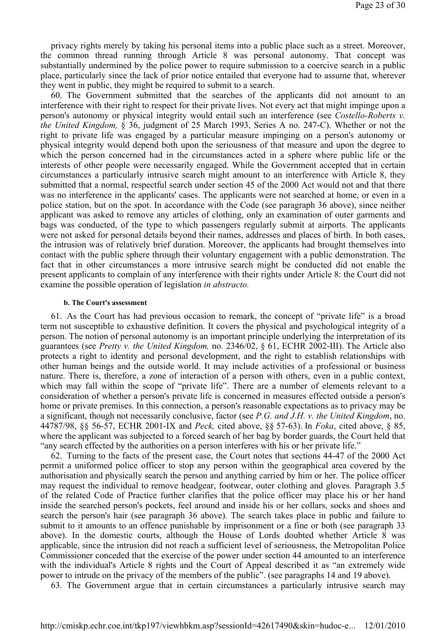privacy rights merely by taking his personal items into a public place such as a street. Moreover, the common thread running through Article 8 was personal autonomy. That concept was substantially undermined by the police power to require submission to a coercive search in a public place, particularly since the lack of prior notice entailed that everyone had to assume that, wherever they went in public, they might be required to submit to a search.

60. The Government submitted that the searches of the applicants did not amount to an interference with their right to respect for their private lives. Not every act that might impinge upon a person's autonomy or physical integrity would entail such an interference (see *Costello-Roberts v. the United Kingdom,* § 36, judgment of 25 March 1993, Series A no. 247-C). Whether or not the right to private life was engaged by a particular measure impinging on a person's autonomy or physical integrity would depend both upon the seriousness of that measure and upon the degree to which the person concerned had in the circumstances acted in a sphere where public life or the interests of other people were necessarily engaged. While the Government accepted that in certain circumstances a particularly intrusive search might amount to an interference with Article 8, they submitted that a normal, respectful search under section 45 of the 2000 Act would not and that there was no interference in the applicants' cases. The applicants were not searched at home, or even in a police station, but on the spot. In accordance with the Code (see paragraph 36 above), since neither applicant was asked to remove any articles of clothing, only an examination of outer garments and bags was conducted, of the type to which passengers regularly submit at airports. The applicants were not asked for personal details beyond their names, addresses and places of birth. In both cases, the intrusion was of relatively brief duration. Moreover, the applicants had brought themselves into contact with the public sphere through their voluntary engagement with a public demonstration. The fact that in other circumstances a more intrusive search might be conducted did not enable the present applicants to complain of any interference with their rights under Article 8: the Court did not examine the possible operation of legislation *in abstracto.*

#### **b. The Court's assessment**

61. As the Court has had previous occasion to remark, the concept of "private life" is a broad term not susceptible to exhaustive definition. It covers the physical and psychological integrity of a person. The notion of personal autonomy is an important principle underlying the interpretation of its guarantees (see *Pretty v. the United Kingdom,* no. 2346/02, § 61, ECHR 2002-III). The Article also protects a right to identity and personal development, and the right to establish relationships with other human beings and the outside world. It may include activities of a professional or business nature. There is, therefore, a zone of interaction of a person with others, even in a public context, which may fall within the scope of "private life". There are a number of elements relevant to a consideration of whether a person's private life is concerned in measures effected outside a person's home or private premises. In this connection, a person's reasonable expectations as to privacy may be a significant, though not necessarily conclusive, factor (see *P.G. and J.H. v. the United Kingdom*, no. 44787/98, §§ 56-57, ECHR 2001-IX and *Peck,* cited above, §§ 57-63). In *Foka*, cited above, § 85, where the applicant was subjected to a forced search of her bag by border guards, the Court held that "any search effected by the authorities on a person interferes with his or her private life."

62. Turning to the facts of the present case, the Court notes that sections 44-47 of the 2000 Act permit a uniformed police officer to stop any person within the geographical area covered by the authorisation and physically search the person and anything carried by him or her. The police officer may request the individual to remove headgear, footwear, outer clothing and gloves. Paragraph 3.5 of the related Code of Practice further clarifies that the police officer may place his or her hand inside the searched person's pockets, feel around and inside his or her collars, socks and shoes and search the person's hair (see paragraph 36 above). The search takes place in public and failure to submit to it amounts to an offence punishable by imprisonment or a fine or both (see paragraph 33) above). In the domestic courts, although the House of Lords doubted whether Article 8 was applicable, since the intrusion did not reach a sufficient level of seriousness, the Metropolitan Police Commissioner conceded that the exercise of the power under section 44 amounted to an interference with the individual's Article 8 rights and the Court of Appeal described it as "an extremely wide power to intrude on the privacy of the members of the public". (see paragraphs 14 and 19 above).

63. The Government argue that in certain circumstances a particularly intrusive search may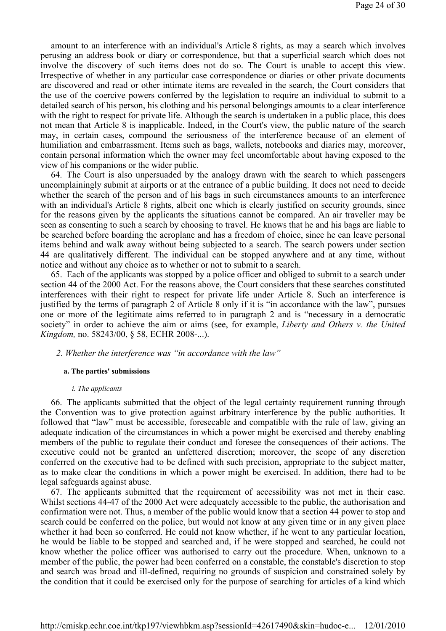amount to an interference with an individual's Article 8 rights, as may a search which involves perusing an address book or diary or correspondence, but that a superficial search which does not involve the discovery of such items does not do so. The Court is unable to accept this view. Irrespective of whether in any particular case correspondence or diaries or other private documents are discovered and read or other intimate items are revealed in the search, the Court considers that the use of the coercive powers conferred by the legislation to require an individual to submit to a detailed search of his person, his clothing and his personal belongings amounts to a clear interference with the right to respect for private life. Although the search is undertaken in a public place, this does not mean that Article 8 is inapplicable. Indeed, in the Court's view, the public nature of the search may, in certain cases, compound the seriousness of the interference because of an element of humiliation and embarrassment. Items such as bags, wallets, notebooks and diaries may, moreover, contain personal information which the owner may feel uncomfortable about having exposed to the view of his companions or the wider public.

64. The Court is also unpersuaded by the analogy drawn with the search to which passengers uncomplainingly submit at airports or at the entrance of a public building. It does not need to decide whether the search of the person and of his bags in such circumstances amounts to an interference with an individual's Article 8 rights, albeit one which is clearly justified on security grounds, since for the reasons given by the applicants the situations cannot be compared. An air traveller may be seen as consenting to such a search by choosing to travel. He knows that he and his bags are liable to be searched before boarding the aeroplane and has a freedom of choice, since he can leave personal items behind and walk away without being subjected to a search. The search powers under section 44 are qualitatively different. The individual can be stopped anywhere and at any time, without notice and without any choice as to whether or not to submit to a search.

65. Each of the applicants was stopped by a police officer and obliged to submit to a search under section 44 of the 2000 Act. For the reasons above, the Court considers that these searches constituted interferences with their right to respect for private life under Article 8. Such an interference is justified by the terms of paragraph 2 of Article 8 only if it is "in accordance with the law", pursues one or more of the legitimate aims referred to in paragraph 2 and is "necessary in a democratic society" in order to achieve the aim or aims (see, for example, *Liberty and Others v. the United Kingdom,* no. 58243/00, § 58, ECHR 2008-...).

## *2. Whether the interference was "in accordance with the law"*

## **a. The parties' submissions**

#### *i. The applicants*

66. The applicants submitted that the object of the legal certainty requirement running through the Convention was to give protection against arbitrary interference by the public authorities. It followed that "law" must be accessible, foreseeable and compatible with the rule of law, giving an adequate indication of the circumstances in which a power might be exercised and thereby enabling members of the public to regulate their conduct and foresee the consequences of their actions. The executive could not be granted an unfettered discretion; moreover, the scope of any discretion conferred on the executive had to be defined with such precision, appropriate to the subject matter, as to make clear the conditions in which a power might be exercised. In addition, there had to be legal safeguards against abuse.

67. The applicants submitted that the requirement of accessibility was not met in their case. Whilst sections 44-47 of the 2000 Act were adequately accessible to the public, the authorisation and confirmation were not. Thus, a member of the public would know that a section 44 power to stop and search could be conferred on the police, but would not know at any given time or in any given place whether it had been so conferred. He could not know whether, if he went to any particular location, he would be liable to be stopped and searched and, if he were stopped and searched, he could not know whether the police officer was authorised to carry out the procedure. When, unknown to a member of the public, the power had been conferred on a constable, the constable's discretion to stop and search was broad and ill-defined, requiring no grounds of suspicion and constrained solely by the condition that it could be exercised only for the purpose of searching for articles of a kind which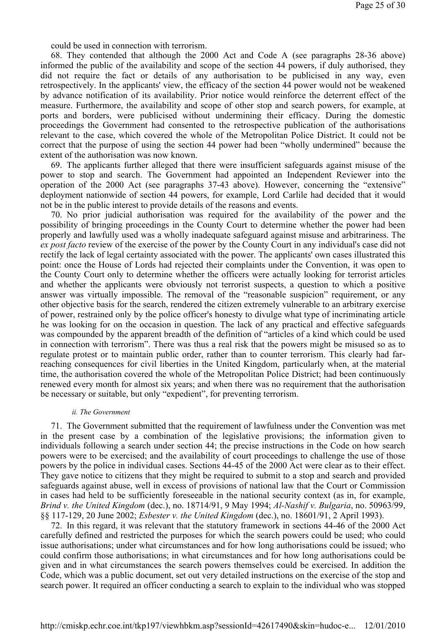could be used in connection with terrorism.

68. They contended that although the 2000 Act and Code A (see paragraphs 28-36 above) informed the public of the availability and scope of the section 44 powers, if duly authorised, they did not require the fact or details of any authorisation to be publicised in any way, even retrospectively. In the applicants' view, the efficacy of the section 44 power would not be weakened by advance notification of its availability. Prior notice would reinforce the deterrent effect of the measure. Furthermore, the availability and scope of other stop and search powers, for example, at ports and borders, were publicised without undermining their efficacy. During the domestic proceedings the Government had consented to the retrospective publication of the authorisations relevant to the case, which covered the whole of the Metropolitan Police District. It could not be correct that the purpose of using the section 44 power had been "wholly undermined" because the extent of the authorisation was now known.

69. The applicants further alleged that there were insufficient safeguards against misuse of the power to stop and search. The Government had appointed an Independent Reviewer into the operation of the 2000 Act (see paragraphs 37-43 above). However, concerning the "extensive" deployment nationwide of section 44 powers, for example, Lord Carlile had decided that it would not be in the public interest to provide details of the reasons and events.

70. No prior judicial authorisation was required for the availability of the power and the possibility of bringing proceedings in the County Court to determine whether the power had been properly and lawfully used was a wholly inadequate safeguard against misuse and arbitrariness. The *ex post facto* review of the exercise of the power by the County Court in any individual's case did not rectify the lack of legal certainty associated with the power. The applicants' own cases illustrated this point: once the House of Lords had rejected their complaints under the Convention, it was open to the County Court only to determine whether the officers were actually looking for terrorist articles and whether the applicants were obviously not terrorist suspects, a question to which a positive answer was virtually impossible. The removal of the "reasonable suspicion" requirement, or any other objective basis for the search, rendered the citizen extremely vulnerable to an arbitrary exercise of power, restrained only by the police officer's honesty to divulge what type of incriminating article he was looking for on the occasion in question. The lack of any practical and effective safeguards was compounded by the apparent breadth of the definition of "articles of a kind which could be used in connection with terrorism". There was thus a real risk that the powers might be misused so as to regulate protest or to maintain public order, rather than to counter terrorism. This clearly had farreaching consequences for civil liberties in the United Kingdom, particularly when, at the material time, the authorisation covered the whole of the Metropolitan Police District; had been continuously renewed every month for almost six years; and when there was no requirement that the authorisation be necessary or suitable, but only "expedient", for preventing terrorism.

#### *ii. The Government*

71. The Government submitted that the requirement of lawfulness under the Convention was met in the present case by a combination of the legislative provisions; the information given to individuals following a search under section 44; the precise instructions in the Code on how search powers were to be exercised; and the availability of court proceedings to challenge the use of those powers by the police in individual cases. Sections 44-45 of the 2000 Act were clear as to their effect. They gave notice to citizens that they might be required to submit to a stop and search and provided safeguards against abuse, well in excess of provisions of national law that the Court or Commission in cases had held to be sufficiently foreseeable in the national security context (as in, for example, *Brind v. the United Kingdom* (dec.), no. 18714/91, 9 May 1994; *Al-Nashif v. Bulgaria*, no. 50963/99, §§ 117-129, 20 June 2002; *Esbester v. the United Kingdom* (dec.), no. 18601/91, 2 April 1993).

72. In this regard, it was relevant that the statutory framework in sections 44-46 of the 2000 Act carefully defined and restricted the purposes for which the search powers could be used; who could issue authorisations; under what circumstances and for how long authorisations could be issued; who could confirm those authorisations; in what circumstances and for how long authorisations could be given and in what circumstances the search powers themselves could be exercised. In addition the Code, which was a public document, set out very detailed instructions on the exercise of the stop and search power. It required an officer conducting a search to explain to the individual who was stopped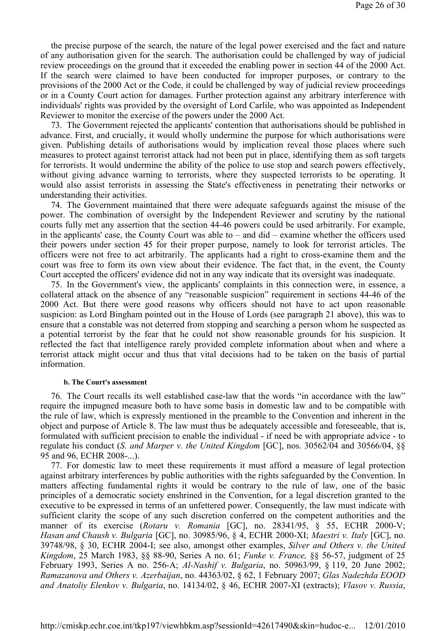the precise purpose of the search, the nature of the legal power exercised and the fact and nature of any authorisation given for the search. The authorisation could be challenged by way of judicial review proceedings on the ground that it exceeded the enabling power in section 44 of the 2000 Act. If the search were claimed to have been conducted for improper purposes, or contrary to the provisions of the 2000 Act or the Code, it could be challenged by way of judicial review proceedings or in a County Court action for damages. Further protection against any arbitrary interference with individuals' rights was provided by the oversight of Lord Carlile, who was appointed as Independent Reviewer to monitor the exercise of the powers under the 2000 Act.

73. The Government rejected the applicants' contention that authorisations should be published in advance. First, and crucially, it would wholly undermine the purpose for which authorisations were given. Publishing details of authorisations would by implication reveal those places where such measures to protect against terrorist attack had not been put in place, identifying them as soft targets for terrorists. It would undermine the ability of the police to use stop and search powers effectively, without giving advance warning to terrorists, where they suspected terrorists to be operating. It would also assist terrorists in assessing the State's effectiveness in penetrating their networks or understanding their activities.

74. The Government maintained that there were adequate safeguards against the misuse of the power. The combination of oversight by the Independent Reviewer and scrutiny by the national courts fully met any assertion that the section 44-46 powers could be used arbitrarily. For example, in the applicants' case, the County Court was able to – and did – examine whether the officers used their powers under section 45 for their proper purpose, namely to look for terrorist articles. The officers were not free to act arbitrarily. The applicants had a right to cross-examine them and the court was free to form its own view about their evidence. The fact that, in the event, the County Court accepted the officers' evidence did not in any way indicate that its oversight was inadequate.

75. In the Government's view, the applicants' complaints in this connection were, in essence, a collateral attack on the absence of any "reasonable suspicion" requirement in sections 44-46 of the 2000 Act. But there were good reasons why officers should not have to act upon reasonable suspicion: as Lord Bingham pointed out in the House of Lords (see paragraph 21 above), this was to ensure that a constable was not deterred from stopping and searching a person whom he suspected as a potential terrorist by the fear that he could not show reasonable grounds for his suspicion. It reflected the fact that intelligence rarely provided complete information about when and where a terrorist attack might occur and thus that vital decisions had to be taken on the basis of partial information.

#### **b. The Court's assessment**

76. The Court recalls its well established case-law that the words "in accordance with the law" require the impugned measure both to have some basis in domestic law and to be compatible with the rule of law, which is expressly mentioned in the preamble to the Convention and inherent in the object and purpose of Article 8. The law must thus be adequately accessible and foreseeable, that is, formulated with sufficient precision to enable the individual - if need be with appropriate advice - to regulate his conduct (*S. and Marper v. the United Kingdom* [GC], nos. 30562/04 and 30566/04, §§ 95 and 96, ECHR 2008-...).

77. For domestic law to meet these requirements it must afford a measure of legal protection against arbitrary interferences by public authorities with the rights safeguarded by the Convention. In matters affecting fundamental rights it would be contrary to the rule of law, one of the basic principles of a democratic society enshrined in the Convention, for a legal discretion granted to the executive to be expressed in terms of an unfettered power. Consequently, the law must indicate with sufficient clarity the scope of any such discretion conferred on the competent authorities and the manner of its exercise (*Rotaru v. Romania* [GC], no. 28341/95, § 55, ECHR 2000-V; *Hasan and Chaush v. Bulgaria* [GC], no. 30985/96, § 4, ECHR 2000-XI; *Maestri v. Italy* [GC], no. 39748/98, § 30, ECHR 2004-I; see also, amongst other examples, *Silver and Others v. the United Kingdom*, 25 March 1983, §§ 88-90, Series A no. 61; *Funke v. France,* §§ 56-57, judgment of 25 February 1993, Series A no. 256-A; *Al-Nashif v. Bulgaria*, no. 50963/99, § 119, 20 June 2002; *Ramazanova and Others v. Azerbaijan*, no. 44363/02, § 62, 1 February 2007; *Glas Nadezhda EOOD and Anatoliy Elenkov v. Bulgaria*, no. 14134/02, § 46, ECHR 2007-XI (extracts); *Vlasov v. Russia*,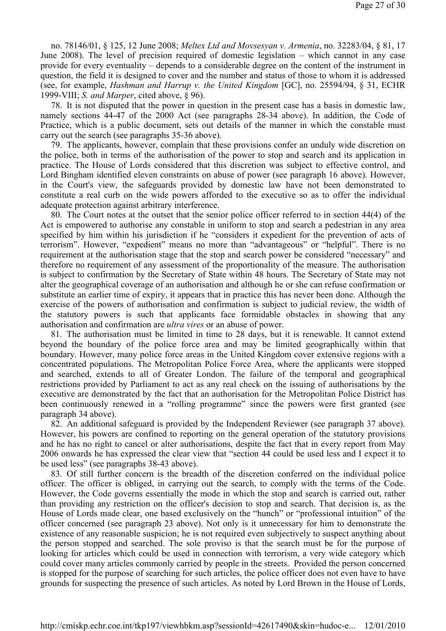no. 78146/01, § 125, 12 June 2008; *Meltex Ltd and Movsesyan v. Armenia*, no. 32283/04, § 81, 17 June 2008). The level of precision required of domestic legislation – which cannot in any case provide for every eventuality – depends to a considerable degree on the content of the instrument in question, the field it is designed to cover and the number and status of those to whom it is addressed (see, for example, *Hashman and Harrup v. the United Kingdom* [GC], no. 25594/94, § 31, ECHR 1999-VIII; *S. and Marper*, cited above, § 96).

78. It is not disputed that the power in question in the present case has a basis in domestic law, namely sections 44-47 of the 2000 Act (see paragraphs 28-34 above). In addition, the Code of Practice, which is a public document, sets out details of the manner in which the constable must carry out the search (see paragraphs 35-36 above).

79. The applicants, however, complain that these provisions confer an unduly wide discretion on the police, both in terms of the authorisation of the power to stop and search and its application in practice. The House of Lords considered that this discretion was subject to effective control, and Lord Bingham identified eleven constraints on abuse of power (see paragraph 16 above). However, in the Court's view, the safeguards provided by domestic law have not been demonstrated to constitute a real curb on the wide powers afforded to the executive so as to offer the individual adequate protection against arbitrary interference.

80. The Court notes at the outset that the senior police officer referred to in section 44(4) of the Act is empowered to authorise any constable in uniform to stop and search a pedestrian in any area specified by him within his jurisdiction if he "considers it expedient for the prevention of acts of terrorism". However, "expedient" means no more than "advantageous" or "helpful". There is no requirement at the authorisation stage that the stop and search power be considered "necessary" and therefore no requirement of any assessment of the proportionality of the measure. The authorisation is subject to confirmation by the Secretary of State within 48 hours. The Secretary of State may not alter the geographical coverage of an authorisation and although he or she can refuse confirmation or substitute an earlier time of expiry, it appears that in practice this has never been done. Although the exercise of the powers of authorisation and confirmation is subject to judicial review, the width of the statutory powers is such that applicants face formidable obstacles in showing that any authorisation and confirmation are *ultra vires* or an abuse of power.

81. The authorisation must be limited in time to 28 days, but it is renewable. It cannot extend beyond the boundary of the police force area and may be limited geographically within that boundary. However, many police force areas in the United Kingdom cover extensive regions with a concentrated populations. The Metropolitan Police Force Area, where the applicants were stopped and searched, extends to all of Greater London. The failure of the temporal and geographical restrictions provided by Parliament to act as any real check on the issuing of authorisations by the executive are demonstrated by the fact that an authorisation for the Metropolitan Police District has been continuously renewed in a "rolling programme" since the powers were first granted (see paragraph 34 above).

82. An additional safeguard is provided by the Independent Reviewer (see paragraph 37 above). However, his powers are confined to reporting on the general operation of the statutory provisions and he has no right to cancel or alter authorisations, despite the fact that in every report from May 2006 onwards he has expressed the clear view that "section 44 could be used less and I expect it to be used less" (see paragraphs 38-43 above).

83. Of still further concern is the breadth of the discretion conferred on the individual police officer. The officer is obliged, in carrying out the search, to comply with the terms of the Code. However, the Code governs essentially the mode in which the stop and search is carried out, rather than providing any restriction on the officer's decision to stop and search. That decision is, as the House of Lords made clear, one based exclusively on the "hunch" or "professional intuition" of the officer concerned (see paragraph 23 above). Not only is it unnecessary for him to demonstrate the existence of any reasonable suspicion; he is not required even subjectively to suspect anything about the person stopped and searched. The sole proviso is that the search must be for the purpose of looking for articles which could be used in connection with terrorism, a very wide category which could cover many articles commonly carried by people in the streets. Provided the person concerned is stopped for the purpose of searching for such articles, the police officer does not even have to have grounds for suspecting the presence of such articles. As noted by Lord Brown in the House of Lords,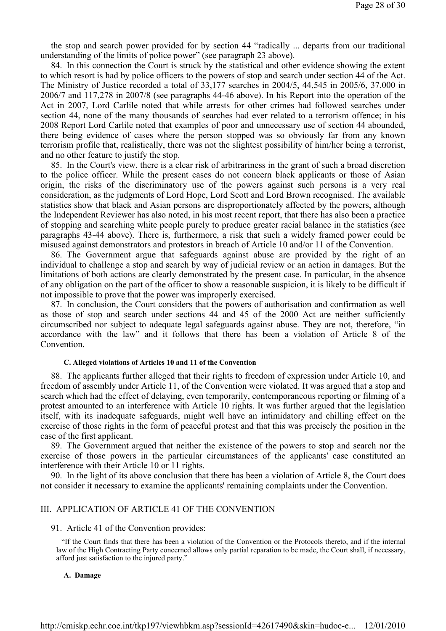the stop and search power provided for by section 44 "radically ... departs from our traditional understanding of the limits of police power" (see paragraph 23 above).

84. In this connection the Court is struck by the statistical and other evidence showing the extent to which resort is had by police officers to the powers of stop and search under section 44 of the Act. The Ministry of Justice recorded a total of 33,177 searches in 2004/5, 44,545 in 2005/6, 37,000 in 2006/7 and 117,278 in 2007/8 (see paragraphs 44-46 above). In his Report into the operation of the Act in 2007, Lord Carlile noted that while arrests for other crimes had followed searches under section 44, none of the many thousands of searches had ever related to a terrorism offence; in his 2008 Report Lord Carlile noted that examples of poor and unnecessary use of section 44 abounded, there being evidence of cases where the person stopped was so obviously far from any known terrorism profile that, realistically, there was not the slightest possibility of him/her being a terrorist, and no other feature to justify the stop.

85. In the Court's view, there is a clear risk of arbitrariness in the grant of such a broad discretion to the police officer. While the present cases do not concern black applicants or those of Asian origin, the risks of the discriminatory use of the powers against such persons is a very real consideration, as the judgments of Lord Hope, Lord Scott and Lord Brown recognised. The available statistics show that black and Asian persons are disproportionately affected by the powers, although the Independent Reviewer has also noted, in his most recent report, that there has also been a practice of stopping and searching white people purely to produce greater racial balance in the statistics (see paragraphs 43-44 above). There is, furthermore, a risk that such a widely framed power could be misused against demonstrators and protestors in breach of Article 10 and/or 11 of the Convention.

86. The Government argue that safeguards against abuse are provided by the right of an individual to challenge a stop and search by way of judicial review or an action in damages. But the limitations of both actions are clearly demonstrated by the present case. In particular, in the absence of any obligation on the part of the officer to show a reasonable suspicion, it is likely to be difficult if not impossible to prove that the power was improperly exercised.

87. In conclusion, the Court considers that the powers of authorisation and confirmation as well as those of stop and search under sections 44 and 45 of the 2000 Act are neither sufficiently circumscribed nor subject to adequate legal safeguards against abuse. They are not, therefore, "in accordance with the law" and it follows that there has been a violation of Article 8 of the Convention.

## **C. Alleged violations of Articles 10 and 11 of the Convention**

88. The applicants further alleged that their rights to freedom of expression under Article 10, and freedom of assembly under Article 11, of the Convention were violated. It was argued that a stop and search which had the effect of delaying, even temporarily, contemporaneous reporting or filming of a protest amounted to an interference with Article 10 rights. It was further argued that the legislation itself, with its inadequate safeguards, might well have an intimidatory and chilling effect on the exercise of those rights in the form of peaceful protest and that this was precisely the position in the case of the first applicant.

89. The Government argued that neither the existence of the powers to stop and search nor the exercise of those powers in the particular circumstances of the applicants' case constituted an interference with their Article 10 or 11 rights.

90. In the light of its above conclusion that there has been a violation of Article 8, the Court does not consider it necessary to examine the applicants' remaining complaints under the Convention.

## III. APPLICATION OF ARTICLE 41 OF THE CONVENTION

## 91. Article 41 of the Convention provides:

"If the Court finds that there has been a violation of the Convention or the Protocols thereto, and if the internal law of the High Contracting Party concerned allows only partial reparation to be made, the Court shall, if necessary, afford just satisfaction to the injured party."

#### **A. Damage**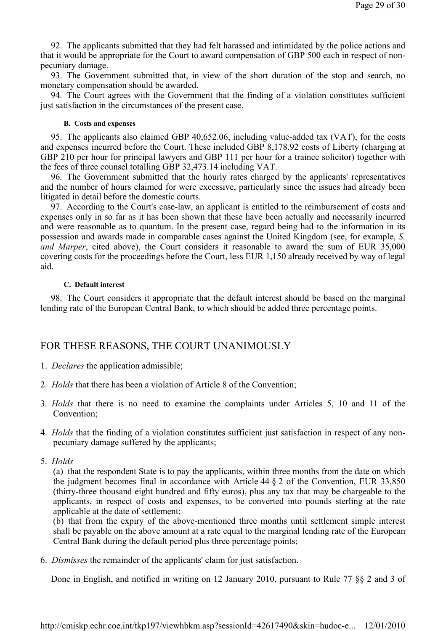92. The applicants submitted that they had felt harassed and intimidated by the police actions and that it would be appropriate for the Court to award compensation of GBP 500 each in respect of nonpecuniary damage.

93. The Government submitted that, in view of the short duration of the stop and search, no monetary compensation should be awarded.

94. The Court agrees with the Government that the finding of a violation constitutes sufficient just satisfaction in the circumstances of the present case.

## **B. Costs and expenses**

95. The applicants also claimed GBP 40,652.06, including value-added tax (VAT), for the costs and expenses incurred before the Court. These included GBP 8,178.92 costs of Liberty (charging at GBP 210 per hour for principal lawyers and GBP 111 per hour for a trainee solicitor) together with the fees of three counsel totalling GBP 32,473.14 including VAT.

96. The Government submitted that the hourly rates charged by the applicants' representatives and the number of hours claimed for were excessive, particularly since the issues had already been litigated in detail before the domestic courts.

97. According to the Court's case-law, an applicant is entitled to the reimbursement of costs and expenses only in so far as it has been shown that these have been actually and necessarily incurred and were reasonable as to quantum. In the present case, regard being had to the information in its possession and awards made in comparable cases against the United Kingdom (see, for example, *S. and Marper*, cited above), the Court considers it reasonable to award the sum of EUR 35,000 covering costs for the proceedings before the Court, less EUR 1,150 already received by way of legal aid.

## **C. Default interest**

98. The Court considers it appropriate that the default interest should be based on the marginal lending rate of the European Central Bank, to which should be added three percentage points.

# FOR THESE REASONS, THE COURT UNANIMOUSLY

- 1. *Declares* the application admissible;
- 2. *Holds* that there has been a violation of Article 8 of the Convention;
- 3. *Holds* that there is no need to examine the complaints under Articles 5, 10 and 11 of the Convention;
- 4. *Holds* that the finding of a violation constitutes sufficient just satisfaction in respect of any nonpecuniary damage suffered by the applicants;
- 5. *Holds*

(a) that the respondent State is to pay the applicants, within three months from the date on which the judgment becomes final in accordance with Article 44 § 2 of the Convention, EUR 33,850 (thirty-three thousand eight hundred and fifty euros), plus any tax that may be chargeable to the applicants, in respect of costs and expenses, to be converted into pounds sterling at the rate applicable at the date of settlement;

(b) that from the expiry of the above-mentioned three months until settlement simple interest shall be payable on the above amount at a rate equal to the marginal lending rate of the European Central Bank during the default period plus three percentage points;

6. *Dismisses* the remainder of the applicants' claim for just satisfaction.

Done in English, and notified in writing on 12 January 2010, pursuant to Rule 77 §§ 2 and 3 of